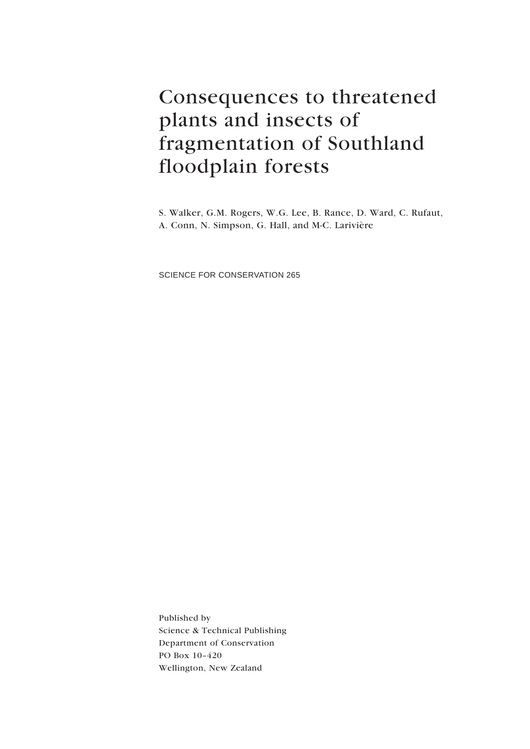# Consequences to threatened plants and insects of fragmentation of Southland floodplain forests

S. Walker, G.M. Rogers, W.G. Lee, B. Rance, D. Ward, C. Rufaut, A. Conn, N. Simpson, G. Hall, and M-C. Larivière

SCIENCE FOR CONSERVATION 265

Published by Science & Technical Publishing Department of Conservation PO Box 10–420 Wellington, New Zealand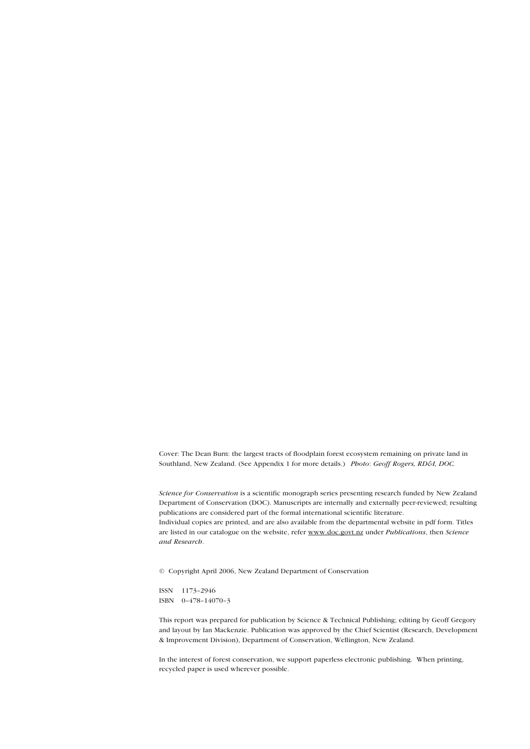Cover: The Dean Burn: the largest tracts of floodplain forest ecosystem remaining on private land in Southland, New Zealand. (See Appendix 1 for more details.) *Photo*: *Geoff Rogers, RD&I, DOC.*

*Science for Conservation* is a scientific monograph series presenting research funded by New Zealand Department of Conservation (DOC). Manuscripts are internally and externally peer-reviewed; resulting publications are considered part of the formal international scientific literature. Individual copies are printed, and are also available from the departmental website in pdf form. Titles are listed in our catalogue on the website, refer www.doc.govt.nz under *Publications*, then *Science and Research*.

© Copyright April 2006, New Zealand Department of Conservation

ISSN 1173–2946 ISBN 0–478–14070–3

This report was prepared for publication by Science & Technical Publishing; editing by Geoff Gregory and layout by Ian Mackenzie. Publication was approved by the Chief Scientist (Research, Development & Improvement Division), Department of Conservation, Wellington, New Zealand.

In the interest of forest conservation, we support paperless electronic publishing. When printing, recycled paper is used wherever possible.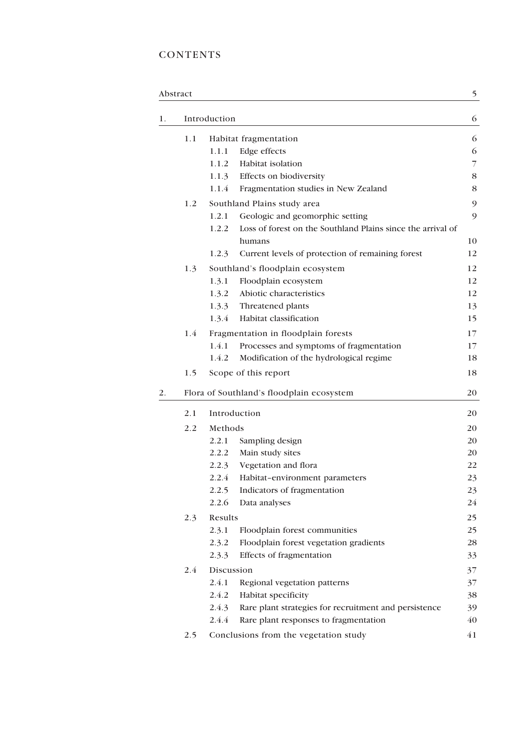# **CONTENTS**

|    | Abstract |              |                                                                       | 5              |
|----|----------|--------------|-----------------------------------------------------------------------|----------------|
| 1. |          | Introduction |                                                                       | 6              |
|    | 1.1      |              | Habitat fragmentation                                                 | 6              |
|    |          | 1.1.1        | Edge effects                                                          | 6              |
|    |          | 1.1.2        | Habitat isolation                                                     | $\overline{7}$ |
|    |          | 1.1.3        | Effects on biodiversity                                               | 8              |
|    |          | 1.1.4        | Fragmentation studies in New Zealand                                  | 8              |
|    | 1.2      |              | Southland Plains study area                                           | 9              |
|    |          | 1.2.1        | Geologic and geomorphic setting                                       | 9              |
|    |          | 1.2.2        | Loss of forest on the Southland Plains since the arrival of<br>humans | 10             |
|    |          | 1.2.3        | Current levels of protection of remaining forest                      | 12             |
|    | 1.3      |              | Southland's floodplain ecosystem                                      | 12             |
|    |          | 1.3.1        | Floodplain ecosystem                                                  | 12             |
|    |          | 1.3.2        | Abiotic characteristics                                               | 12             |
|    |          | 1.3.3        | Threatened plants                                                     | 13             |
|    |          | 1.3.4        | Habitat classification                                                | 15             |
|    | 1.4      |              | Fragmentation in floodplain forests                                   | 17             |
|    |          | 1.4.1        | Processes and symptoms of fragmentation                               | 17             |
|    |          | 1.4.2        | Modification of the hydrological regime                               | 18             |
|    | 1.5      |              | Scope of this report                                                  | 18             |
| 2. |          |              | Flora of Southland's floodplain ecosystem                             | 20             |
|    | 2.1      |              | Introduction                                                          | 20             |
|    | 2.2      | Methods      |                                                                       | 20             |
|    |          | 2.2.1        | Sampling design                                                       | 20             |
|    |          | 2.2.2        | Main study sites                                                      | 20             |
|    |          | 2.2.3        | Vegetation and flora                                                  | 22             |
|    |          | 2.2.4        | Habitat-environment parameters                                        | 23             |
|    |          | 2.2.5        | Indicators of fragmentation                                           | 23             |
|    |          | 2.2.6        | Data analyses                                                         | 24             |
|    | 2.3      | Results      |                                                                       | 25             |
|    |          | 2.3.1        | Floodplain forest communities                                         | 25             |
|    |          | 2.3.2        | Floodplain forest vegetation gradients                                | 28             |
|    |          | 2.3.3        | Effects of fragmentation                                              | 33             |
|    | 2.4      | Discussion   |                                                                       | 37             |
|    |          | 2.4.1        | Regional vegetation patterns                                          | 37             |
|    |          | 2.4.2        | Habitat specificity                                                   | 38             |
|    |          | 2.4.3        | Rare plant strategies for recruitment and persistence                 | 39             |
|    |          | 2.4.4        | Rare plant responses to fragmentation                                 | 40             |
|    | 2.5      |              | Conclusions from the vegetation study                                 | 41             |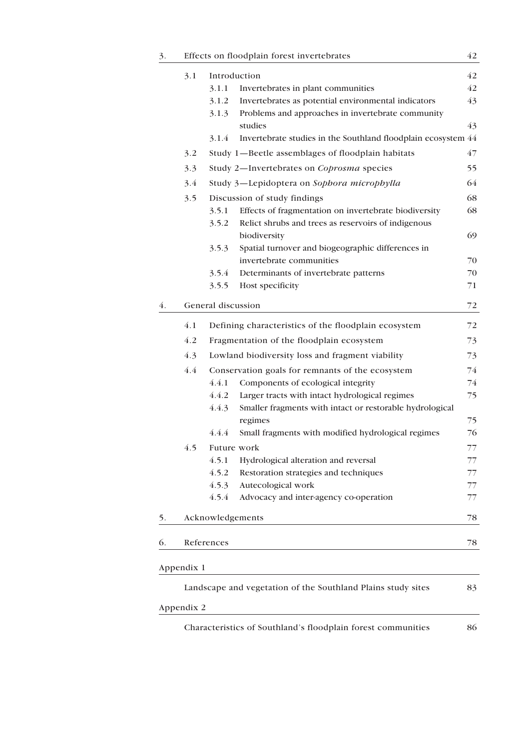| 3. |            |                    | Effects on floodplain forest invertebrates                    | 42 |
|----|------------|--------------------|---------------------------------------------------------------|----|
|    | 3.1        |                    | Introduction                                                  | 42 |
|    |            | 3.1.1              | Invertebrates in plant communities                            | 42 |
|    |            | 3.1.2              | Invertebrates as potential environmental indicators           | 43 |
|    |            | 3.1.3              | Problems and approaches in invertebrate community             |    |
|    |            |                    | studies                                                       | 43 |
|    |            | 3.1.4              | Invertebrate studies in the Southland floodplain ecosystem 44 |    |
|    | 3.2        |                    | Study 1-Beetle assemblages of floodplain habitats             | 47 |
|    | 3.3        |                    | Study 2-Invertebrates on Coprosma species                     | 55 |
|    | 3.4        |                    | Study 3-Lepidoptera on Sophora microphylla                    | 64 |
|    | 3.5        |                    | Discussion of study findings                                  | 68 |
|    |            | 3.5.1              | Effects of fragmentation on invertebrate biodiversity         | 68 |
|    |            | 3.5.2              | Relict shrubs and trees as reservoirs of indigenous           |    |
|    |            |                    | biodiversity                                                  | 69 |
|    |            | 3.5.3              | Spatial turnover and biogeographic differences in             |    |
|    |            |                    | invertebrate communities                                      | 70 |
|    |            | 3.5.4              | Determinants of invertebrate patterns                         | 70 |
|    |            | 3.5.5              | Host specificity                                              | 71 |
| 4. |            | General discussion |                                                               | 72 |
|    | 4.1        |                    | Defining characteristics of the floodplain ecosystem          | 72 |
|    | 4.2        |                    | Fragmentation of the floodplain ecosystem                     | 73 |
|    | 4.3        |                    | Lowland biodiversity loss and fragment viability              | 73 |
|    | 4.4        |                    | Conservation goals for remnants of the ecosystem              | 74 |
|    |            | 4.4.1              | Components of ecological integrity                            | 74 |
|    |            | 4.4.2              | Larger tracts with intact hydrological regimes                | 75 |
|    |            | 4.4.3              | Smaller fragments with intact or restorable hydrological      |    |
|    |            |                    | regimes                                                       | 75 |
|    |            | 4.4.4              | Small fragments with modified hydrological regimes            | 76 |
|    | 4.5        |                    | Future work                                                   | 77 |
|    |            | 4.5.1              | Hydrological alteration and reversal                          | 77 |
|    |            | 4.5.2              | Restoration strategies and techniques                         | 77 |
|    |            | 4.5.3              | Autecological work                                            | 77 |
|    |            | 4.5.4              | Advocacy and inter-agency co-operation                        | 77 |
| 5. |            |                    | Acknowledgements                                              | 78 |
| 6. |            | References         |                                                               | 78 |
|    | Appendix 1 |                    |                                                               |    |
|    |            |                    | Landscape and vegetation of the Southland Plains study sites  | 83 |
|    | Appendix 2 |                    |                                                               |    |
|    |            |                    |                                                               |    |

Characteristics of Southland's floodplain forest communities 86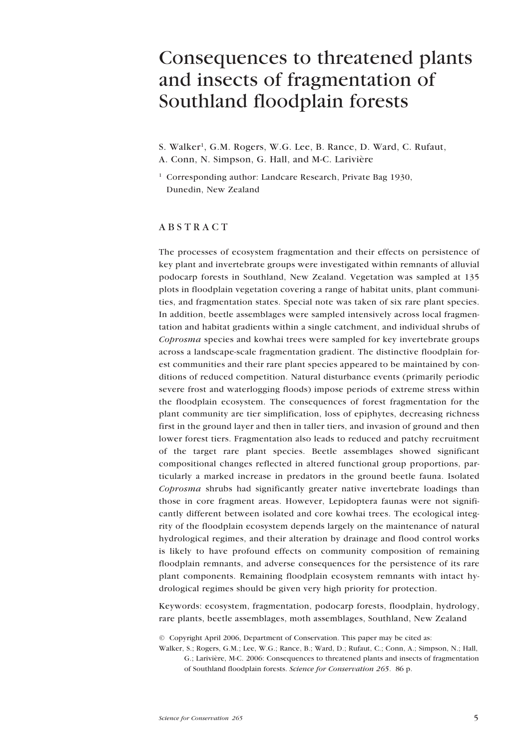# <span id="page-4-0"></span>Consequences to threatened plants and insects of fragmentation of Southland floodplain forests

S. Walker<sup>1</sup>, G.M. Rogers, W.G. Lee, B. Rance, D. Ward, C. Rufaut, A. Conn, N. Simpson, G. Hall, and M-C. Larivière

<sup>1</sup> Corresponding author: Landcare Research, Private Bag 1930, Dunedin, New Zealand

# ABSTRACT

The processes of ecosystem fragmentation and their effects on persistence of key plant and invertebrate groups were investigated within remnants of alluvial podocarp forests in Southland, New Zealand. Vegetation was sampled at 135 plots in floodplain vegetation covering a range of habitat units, plant communities, and fragmentation states. Special note was taken of six rare plant species. In addition, beetle assemblages were sampled intensively across local fragmentation and habitat gradients within a single catchment, and individual shrubs of *Coprosma* species and kowhai trees were sampled for key invertebrate groups across a landscape-scale fragmentation gradient. The distinctive floodplain forest communities and their rare plant species appeared to be maintained by conditions of reduced competition. Natural disturbance events (primarily periodic severe frost and waterlogging floods) impose periods of extreme stress within the floodplain ecosystem. The consequences of forest fragmentation for the plant community are tier simplification, loss of epiphytes, decreasing richness first in the ground layer and then in taller tiers, and invasion of ground and then lower forest tiers. Fragmentation also leads to reduced and patchy recruitment of the target rare plant species. Beetle assemblages showed significant compositional changes reflected in altered functional group proportions, particularly a marked increase in predators in the ground beetle fauna. Isolated *Coprosma* shrubs had significantly greater native invertebrate loadings than those in core fragment areas. However, Lepidoptera faunas were not significantly different between isolated and core kowhai trees. The ecological integrity of the floodplain ecosystem depends largely on the maintenance of natural hydrological regimes, and their alteration by drainage and flood control works is likely to have profound effects on community composition of remaining floodplain remnants, and adverse consequences for the persistence of its rare plant components. Remaining floodplain ecosystem remnants with intact hydrological regimes should be given very high priority for protection.

Keywords: ecosystem, fragmentation, podocarp forests, floodplain, hydrology, rare plants, beetle assemblages, moth assemblages, Southland, New Zealand

© Copyright April 2006, Department of Conservation. This paper may be cited as:

Walker, S.; Rogers, G.M.; Lee, W.G.; Rance, B.; Ward, D.; Rufaut, C.; Conn, A.; Simpson, N.; Hall, G.; Larivière, M-C. 2006: Consequences to threatened plants and insects of fragmentation of Southland floodplain forests. *Science for Conservation 265*. 86 p.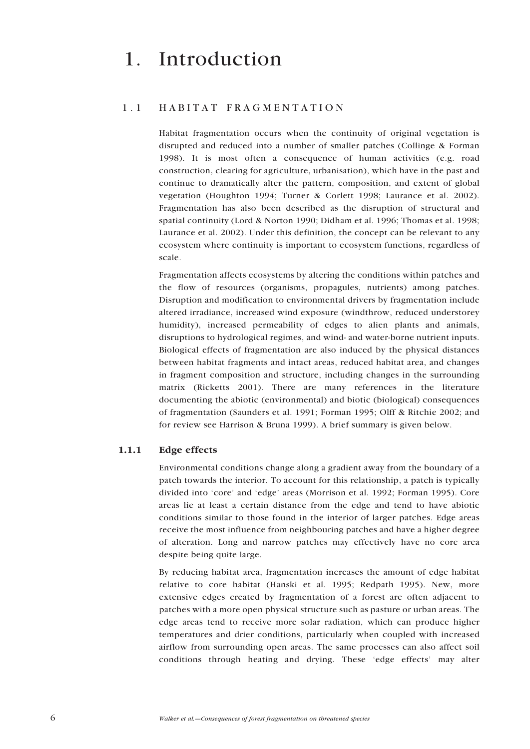# <span id="page-5-0"></span>1. Introduction

# 1.1 HABITAT FRAGMENTATION

Habitat fragmentation occurs when the continuity of original vegetation is disrupted and reduced into a number of smaller patches (Collinge & Forman 1998). It is most often a consequence of human activities (e.g. road construction, clearing for agriculture, urbanisation), which have in the past and continue to dramatically alter the pattern, composition, and extent of global vegetation (Houghton 1994; Turner & Corlett 1998; Laurance et al. 2002). Fragmentation has also been described as the disruption of structural and spatial continuity (Lord & Norton 1990; Didham et al. 1996; Thomas et al. 1998; Laurance et al. 2002). Under this definition, the concept can be relevant to any ecosystem where continuity is important to ecosystem functions, regardless of scale.

Fragmentation affects ecosystems by altering the conditions within patches and the flow of resources (organisms, propagules, nutrients) among patches. Disruption and modification to environmental drivers by fragmentation include altered irradiance, increased wind exposure (windthrow, reduced understorey humidity), increased permeability of edges to alien plants and animals, disruptions to hydrological regimes, and wind- and water-borne nutrient inputs. Biological effects of fragmentation are also induced by the physical distances between habitat fragments and intact areas, reduced habitat area, and changes in fragment composition and structure, including changes in the surrounding matrix (Ricketts 2001). There are many references in the literature documenting the abiotic (environmental) and biotic (biological) consequences of fragmentation (Saunders et al. 1991; Forman 1995; Olff & Ritchie 2002; and for review see Harrison & Bruna 1999). A brief summary is given below.

## 1.1.1 Edge effects

Environmental conditions change along a gradient away from the boundary of a patch towards the interior. To account for this relationship, a patch is typically divided into 'core' and 'edge' areas (Morrison et al. 1992; Forman 1995). Core areas lie at least a certain distance from the edge and tend to have abiotic conditions similar to those found in the interior of larger patches. Edge areas receive the most influence from neighbouring patches and have a higher degree of alteration. Long and narrow patches may effectively have no core area despite being quite large.

By reducing habitat area, fragmentation increases the amount of edge habitat relative to core habitat (Hanski et al. 1995; Redpath 1995). New, more extensive edges created by fragmentation of a forest are often adjacent to patches with a more open physical structure such as pasture or urban areas. The edge areas tend to receive more solar radiation, which can produce higher temperatures and drier conditions, particularly when coupled with increased airflow from surrounding open areas. The same processes can also affect soil conditions through heating and drying. These 'edge effects' may alter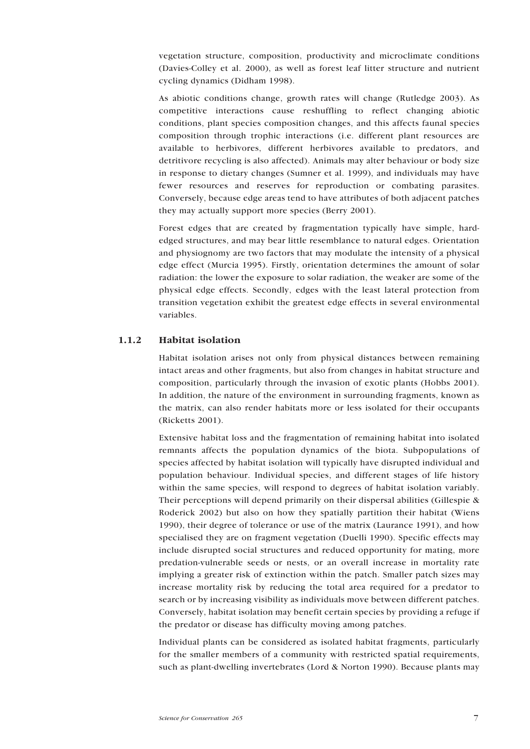<span id="page-6-0"></span>vegetation structure, composition, productivity and microclimate conditions (Davies-Colley et al. 2000), as well as forest leaf litter structure and nutrient cycling dynamics (Didham 1998).

As abiotic conditions change, growth rates will change (Rutledge 2003). As competitive interactions cause reshuffling to reflect changing abiotic conditions, plant species composition changes, and this affects faunal species composition through trophic interactions (i.e. different plant resources are available to herbivores, different herbivores available to predators, and detritivore recycling is also affected). Animals may alter behaviour or body size in response to dietary changes (Sumner et al. 1999), and individuals may have fewer resources and reserves for reproduction or combating parasites. Conversely, because edge areas tend to have attributes of both adjacent patches they may actually support more species (Berry 2001).

Forest edges that are created by fragmentation typically have simple, hardedged structures, and may bear little resemblance to natural edges. Orientation and physiognomy are two factors that may modulate the intensity of a physical edge effect (Murcia 1995). Firstly, orientation determines the amount of solar radiation: the lower the exposure to solar radiation, the weaker are some of the physical edge effects. Secondly, edges with the least lateral protection from transition vegetation exhibit the greatest edge effects in several environmental variables.

## 1.1.2 Habitat isolation

Habitat isolation arises not only from physical distances between remaining intact areas and other fragments, but also from changes in habitat structure and composition, particularly through the invasion of exotic plants (Hobbs 2001). In addition, the nature of the environment in surrounding fragments, known as the matrix, can also render habitats more or less isolated for their occupants (Ricketts 2001).

Extensive habitat loss and the fragmentation of remaining habitat into isolated remnants affects the population dynamics of the biota. Subpopulations of species affected by habitat isolation will typically have disrupted individual and population behaviour. Individual species, and different stages of life history within the same species, will respond to degrees of habitat isolation variably. Their perceptions will depend primarily on their dispersal abilities (Gillespie & Roderick 2002) but also on how they spatially partition their habitat (Wiens 1990), their degree of tolerance or use of the matrix (Laurance 1991), and how specialised they are on fragment vegetation (Duelli 1990). Specific effects may include disrupted social structures and reduced opportunity for mating, more predation-vulnerable seeds or nests, or an overall increase in mortality rate implying a greater risk of extinction within the patch. Smaller patch sizes may increase mortality risk by reducing the total area required for a predator to search or by increasing visibility as individuals move between different patches. Conversely, habitat isolation may benefit certain species by providing a refuge if the predator or disease has difficulty moving among patches.

Individual plants can be considered as isolated habitat fragments, particularly for the smaller members of a community with restricted spatial requirements, such as plant-dwelling invertebrates (Lord & Norton 1990). Because plants may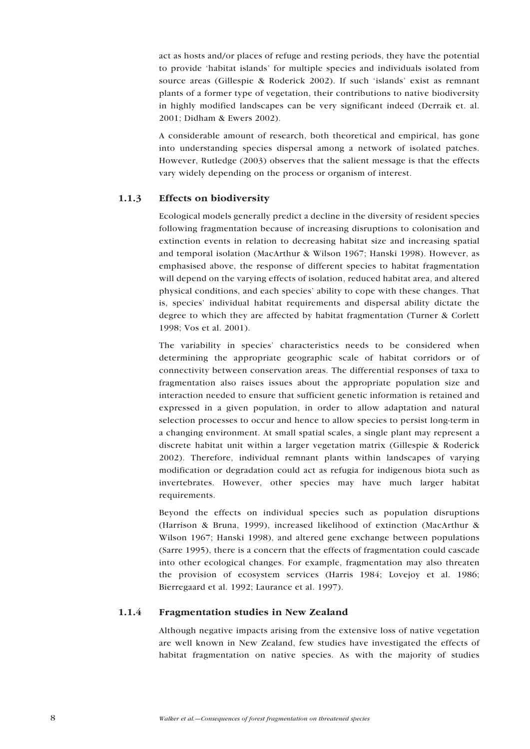<span id="page-7-0"></span>act as hosts and/or places of refuge and resting periods, they have the potential to provide 'habitat islands' for multiple species and individuals isolated from source areas (Gillespie & Roderick 2002). If such 'islands' exist as remnant plants of a former type of vegetation, their contributions to native biodiversity in highly modified landscapes can be very significant indeed (Derraik et. al. 2001; Didham & Ewers 2002).

A considerable amount of research, both theoretical and empirical, has gone into understanding species dispersal among a network of isolated patches. However, Rutledge (2003) observes that the salient message is that the effects vary widely depending on the process or organism of interest.

# 1.1.3 Effects on biodiversity

Ecological models generally predict a decline in the diversity of resident species following fragmentation because of increasing disruptions to colonisation and extinction events in relation to decreasing habitat size and increasing spatial and temporal isolation (MacArthur & Wilson 1967; Hanski 1998). However, as emphasised above, the response of different species to habitat fragmentation will depend on the varying effects of isolation, reduced habitat area, and altered physical conditions, and each species' ability to cope with these changes. That is, species' individual habitat requirements and dispersal ability dictate the degree to which they are affected by habitat fragmentation (Turner & Corlett 1998; Vos et al. 2001).

The variability in species' characteristics needs to be considered when determining the appropriate geographic scale of habitat corridors or of connectivity between conservation areas. The differential responses of taxa to fragmentation also raises issues about the appropriate population size and interaction needed to ensure that sufficient genetic information is retained and expressed in a given population, in order to allow adaptation and natural selection processes to occur and hence to allow species to persist long-term in a changing environment. At small spatial scales, a single plant may represent a discrete habitat unit within a larger vegetation matrix (Gillespie & Roderick 2002). Therefore, individual remnant plants within landscapes of varying modification or degradation could act as refugia for indigenous biota such as invertebrates. However, other species may have much larger habitat requirements.

Beyond the effects on individual species such as population disruptions (Harrison & Bruna, 1999), increased likelihood of extinction (MacArthur & Wilson 1967; Hanski 1998), and altered gene exchange between populations (Sarre 1995), there is a concern that the effects of fragmentation could cascade into other ecological changes. For example, fragmentation may also threaten the provision of ecosystem services (Harris 1984; Lovejoy et al. 1986; Bierregaard et al. 1992; Laurance et al. 1997).

## 1.1.4 Fragmentation studies in New Zealand

Although negative impacts arising from the extensive loss of native vegetation are well known in New Zealand, few studies have investigated the effects of habitat fragmentation on native species. As with the majority of studies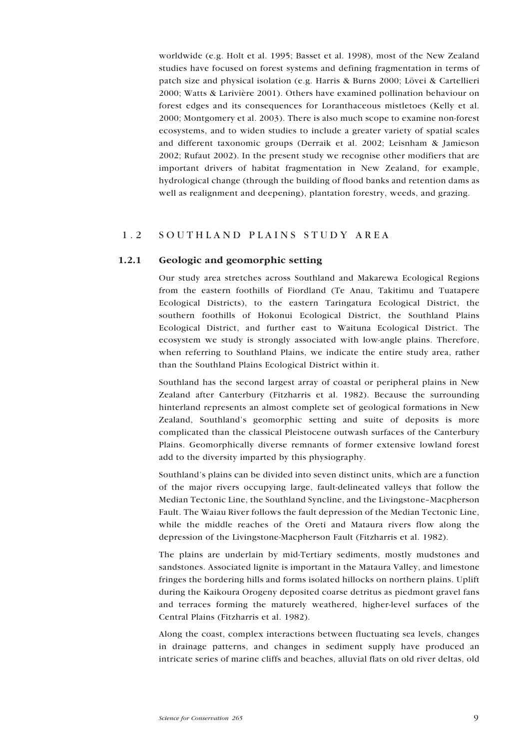<span id="page-8-0"></span>worldwide (e.g. Holt et al. 1995; Basset et al. 1998), most of the New Zealand studies have focused on forest systems and defining fragmentation in terms of patch size and physical isolation (e.g. Harris & Burns 2000; Lövei & Cartellieri 2000; Watts & Larivière 2001). Others have examined pollination behaviour on forest edges and its consequences for Loranthaceous mistletoes (Kelly et al. 2000; Montgomery et al. 2003). There is also much scope to examine non-forest ecosystems, and to widen studies to include a greater variety of spatial scales and different taxonomic groups (Derraik et al. 2002; Leisnham & Jamieson 2002; Rufaut 2002). In the present study we recognise other modifiers that are important drivers of habitat fragmentation in New Zealand, for example, hydrological change (through the building of flood banks and retention dams as well as realignment and deepening), plantation forestry, weeds, and grazing.

# 1.2 SOUTHLAND PLAINS STUDY AREA

## 1.2.1 Geologic and geomorphic setting

Our study area stretches across Southland and Makarewa Ecological Regions from the eastern foothills of Fiordland (Te Anau, Takitimu and Tuatapere Ecological Districts), to the eastern Taringatura Ecological District, the southern foothills of Hokonui Ecological District, the Southland Plains Ecological District, and further east to Waituna Ecological District. The ecosystem we study is strongly associated with low-angle plains. Therefore, when referring to Southland Plains, we indicate the entire study area, rather than the Southland Plains Ecological District within it.

Southland has the second largest array of coastal or peripheral plains in New Zealand after Canterbury (Fitzharris et al. 1982). Because the surrounding hinterland represents an almost complete set of geological formations in New Zealand, Southland's geomorphic setting and suite of deposits is more complicated than the classical Pleistocene outwash surfaces of the Canterbury Plains. Geomorphically diverse remnants of former extensive lowland forest add to the diversity imparted by this physiography.

Southland's plains can be divided into seven distinct units, which are a function of the major rivers occupying large, fault-delineated valleys that follow the Median Tectonic Line, the Southland Syncline, and the Livingstone–Macpherson Fault. The Waiau River follows the fault depression of the Median Tectonic Line, while the middle reaches of the Oreti and Mataura rivers flow along the depression of the Livingstone-Macpherson Fault (Fitzharris et al. 1982).

The plains are underlain by mid-Tertiary sediments, mostly mudstones and sandstones. Associated lignite is important in the Mataura Valley, and limestone fringes the bordering hills and forms isolated hillocks on northern plains. Uplift during the Kaikoura Orogeny deposited coarse detritus as piedmont gravel fans and terraces forming the maturely weathered, higher-level surfaces of the Central Plains (Fitzharris et al. 1982).

Along the coast, complex interactions between fluctuating sea levels, changes in drainage patterns, and changes in sediment supply have produced an intricate series of marine cliffs and beaches, alluvial flats on old river deltas, old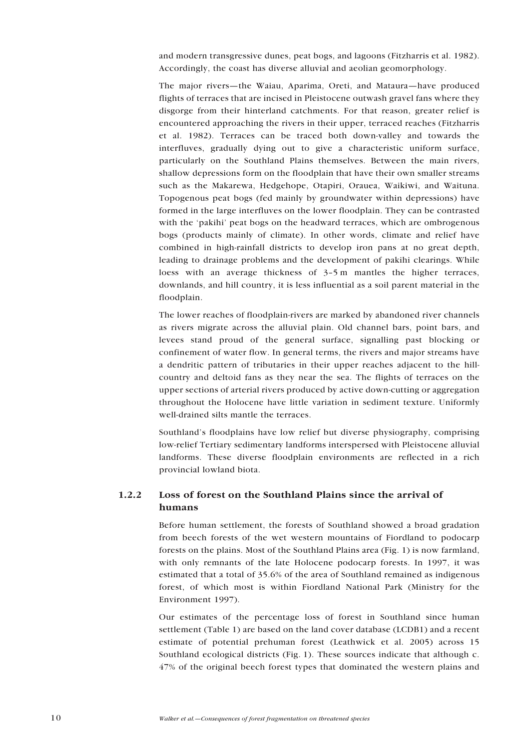<span id="page-9-0"></span>and modern transgressive dunes, peat bogs, and lagoons (Fitzharris et al. 1982). Accordingly, the coast has diverse alluvial and aeolian geomorphology.

The major rivers—the Waiau, Aparima, Oreti, and Mataura—have produced flights of terraces that are incised in Pleistocene outwash gravel fans where they disgorge from their hinterland catchments. For that reason, greater relief is encountered approaching the rivers in their upper, terraced reaches (Fitzharris et al. 1982). Terraces can be traced both down-valley and towards the interfluves, gradually dying out to give a characteristic uniform surface, particularly on the Southland Plains themselves. Between the main rivers, shallow depressions form on the floodplain that have their own smaller streams such as the Makarewa, Hedgehope, Otapiri, Orauea, Waikiwi, and Waituna. Topogenous peat bogs (fed mainly by groundwater within depressions) have formed in the large interfluves on the lower floodplain. They can be contrasted with the 'pakihi' peat bogs on the headward terraces, which are ombrogenous bogs (products mainly of climate). In other words, climate and relief have combined in high-rainfall districts to develop iron pans at no great depth, leading to drainage problems and the development of pakihi clearings. While loess with an average thickness of 3–5 m mantles the higher terraces, downlands, and hill country, it is less influential as a soil parent material in the floodplain.

The lower reaches of floodplain-rivers are marked by abandoned river channels as rivers migrate across the alluvial plain. Old channel bars, point bars, and levees stand proud of the general surface, signalling past blocking or confinement of water flow. In general terms, the rivers and major streams have a dendritic pattern of tributaries in their upper reaches adjacent to the hillcountry and deltoid fans as they near the sea. The flights of terraces on the upper sections of arterial rivers produced by active down-cutting or aggregation throughout the Holocene have little variation in sediment texture. Uniformly well-drained silts mantle the terraces.

Southland's floodplains have low relief but diverse physiography, comprising low-relief Tertiary sedimentary landforms interspersed with Pleistocene alluvial landforms. These diverse floodplain environments are reflected in a rich provincial lowland biota.

# 1.2.2 Loss of forest on the Southland Plains since the arrival of humans

Before human settlement, the forests of Southland showed a broad gradation from beech forests of the wet western mountains of Fiordland to podocarp forests on the plains. Most of the Southland Plains area (Fig. 1) is now farmland, with only remnants of the late Holocene podocarp forests. In 1997, it was estimated that a total of 35.6% of the area of Southland remained as indigenous forest, of which most is within Fiordland National Park (Ministry for the Environment 1997).

Our estimates of the percentage loss of forest in Southland since human settlement (Table 1) are based on the land cover database (LCDB1) and a recent estimate of potential prehuman forest (Leathwick et al. 2005) across 15 Southland ecological districts (Fig. 1). These sources indicate that although c. 47% of the original beech forest types that dominated the western plains and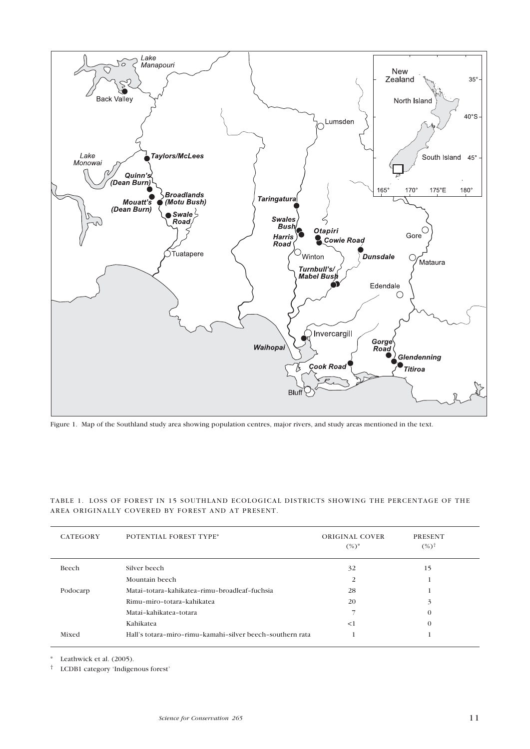

Figure 1. Map of the Southland study area showing population centres, major rivers, and study areas mentioned in the text.

|  |  |                                                   |  | TABLE 1. LOSS OF FOREST IN 15 SOUTHLAND ECOLOGICAL DISTRICTS SHOWING THE PERCENTAGE OF THE |  |
|--|--|---------------------------------------------------|--|--------------------------------------------------------------------------------------------|--|
|  |  | AREA ORIGINALLY COVERED BY FOREST AND AT PRESENT. |  |                                                                                            |  |

| <b>CATEGORY</b> | <b>POTENTIAL FOREST TYPE*</b>                             | ORIGINAL COVER<br>$(\%)^*$ | <b>PRESENT</b><br>$(%)^{\dagger}$ |  |
|-----------------|-----------------------------------------------------------|----------------------------|-----------------------------------|--|
| Beech           | Silver beech                                              | 32                         | 15                                |  |
|                 | Mountain beech                                            | 2                          |                                   |  |
| Podocarp        | Matai-totara-kahikatea-rimu-broadleaf-fuchsia             | 28                         |                                   |  |
|                 | Rimu-miro-totara-kahikatea                                | 20                         | 3                                 |  |
|                 | Matai-kahikatea-totara                                    |                            | $\mathbf 0$                       |  |
|                 | Kahikatea                                                 | <1                         | $\mathbf 0$                       |  |
| Mixed           | Hall's totara-miro-rimu-kamahi-silver beech-southern rata |                            |                                   |  |

\* Leathwick et al. (2005).

† LCDB1 category 'Indigenous forest'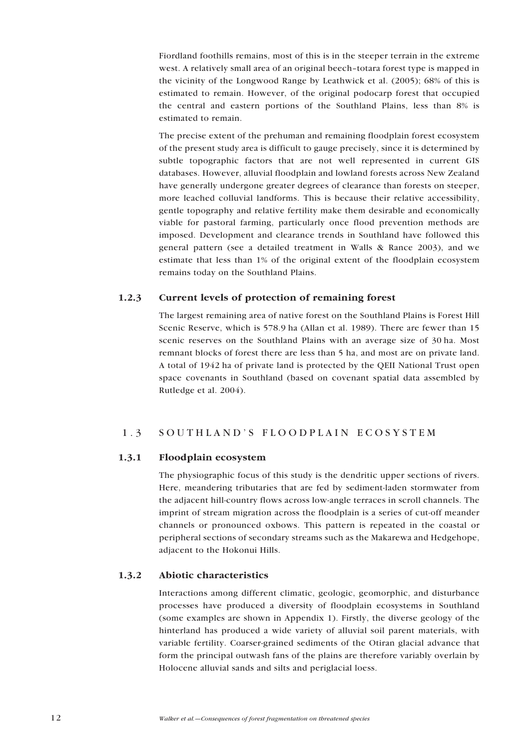<span id="page-11-0"></span>Fiordland foothills remains, most of this is in the steeper terrain in the extreme west. A relatively small area of an original beech–totara forest type is mapped in the vicinity of the Longwood Range by Leathwick et al. (2005); 68% of this is estimated to remain. However, of the original podocarp forest that occupied the central and eastern portions of the Southland Plains, less than 8% is estimated to remain.

The precise extent of the prehuman and remaining floodplain forest ecosystem of the present study area is difficult to gauge precisely, since it is determined by subtle topographic factors that are not well represented in current GIS databases. However, alluvial floodplain and lowland forests across New Zealand have generally undergone greater degrees of clearance than forests on steeper, more leached colluvial landforms. This is because their relative accessibility, gentle topography and relative fertility make them desirable and economically viable for pastoral farming, particularly once flood prevention methods are imposed. Development and clearance trends in Southland have followed this general pattern (see a detailed treatment in Walls & Rance 2003), and we estimate that less than 1% of the original extent of the floodplain ecosystem remains today on the Southland Plains.

# 1.2.3 Current levels of protection of remaining forest

The largest remaining area of native forest on the Southland Plains is Forest Hill Scenic Reserve, which is 578.9 ha (Allan et al. 1989). There are fewer than 15 scenic reserves on the Southland Plains with an average size of 30 ha. Most remnant blocks of forest there are less than 5 ha, and most are on private land. A total of 1942 ha of private land is protected by the QEII National Trust open space covenants in Southland (based on covenant spatial data assembled by Rutledge et al. 2004).

# 1.3 SOUTHLAND'S FLOODPLAIN ECOSYSTEM

# 1.3.1 Floodplain ecosystem

The physiographic focus of this study is the dendritic upper sections of rivers. Here, meandering tributaries that are fed by sediment-laden stormwater from the adjacent hill-country flows across low-angle terraces in scroll channels. The imprint of stream migration across the floodplain is a series of cut-off meander channels or pronounced oxbows. This pattern is repeated in the coastal or peripheral sections of secondary streams such as the Makarewa and Hedgehope, adjacent to the Hokonui Hills.

# 1.3.2 Abiotic characteristics

Interactions among different climatic, geologic, geomorphic, and disturbance processes have produced a diversity of floodplain ecosystems in Southland (some examples are shown in Appendix 1). Firstly, the diverse geology of the hinterland has produced a wide variety of alluvial soil parent materials, with variable fertility. Coarser-grained sediments of the Otiran glacial advance that form the principal outwash fans of the plains are therefore variably overlain by Holocene alluvial sands and silts and periglacial loess.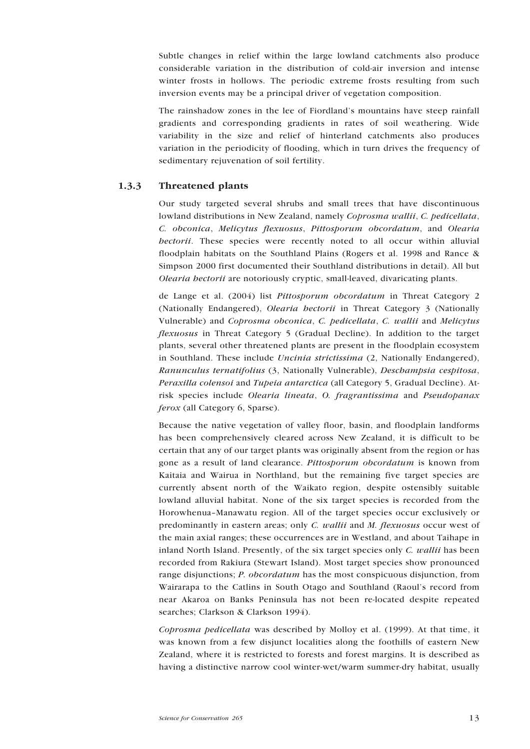<span id="page-12-0"></span>Subtle changes in relief within the large lowland catchments also produce considerable variation in the distribution of cold-air inversion and intense winter frosts in hollows. The periodic extreme frosts resulting from such inversion events may be a principal driver of vegetation composition.

The rainshadow zones in the lee of Fiordland's mountains have steep rainfall gradients and corresponding gradients in rates of soil weathering. Wide variability in the size and relief of hinterland catchments also produces variation in the periodicity of flooding, which in turn drives the frequency of sedimentary rejuvenation of soil fertility.

### 1.3.3 Threatened plants

Our study targeted several shrubs and small trees that have discontinuous lowland distributions in New Zealand, namely *Coprosma wallii*, *C. pedicellata*, *C. obconica*, *Melicytus flexuosus*, *Pittosporum obcordatum*, and *Olearia hectorii*. These species were recently noted to all occur within alluvial floodplain habitats on the Southland Plains (Rogers et al. 1998 and Rance & Simpson 2000 first documented their Southland distributions in detail). All but *Olearia hectorii* are notoriously cryptic, small-leaved, divaricating plants.

de Lange et al. (2004) list *Pittosporum obcordatum* in Threat Category 2 (Nationally Endangered), *Olearia hectorii* in Threat Category 3 (Nationally Vulnerable) and *Coprosma obconica*, *C. pedicellata*, *C. wallii* and *Melicytus flexuosus* in Threat Category 5 (Gradual Decline). In addition to the target plants, several other threatened plants are present in the floodplain ecosystem in Southland. These include *Uncinia strictissima* (2, Nationally Endangered), *Ranunculus ternatifolius* (3, Nationally Vulnerable), *Deschampsia cespitosa*, *Peraxilla colensoi* and *Tupeia antarctica* (all Category 5, Gradual Decline). Atrisk species include *Olearia lineata*, *O. fragrantissima* and *Pseudopanax ferox* (all Category 6, Sparse).

Because the native vegetation of valley floor, basin, and floodplain landforms has been comprehensively cleared across New Zealand, it is difficult to be certain that any of our target plants was originally absent from the region or has gone as a result of land clearance. *Pittosporum obcordatum* is known from Kaitaia and Wairua in Northland, but the remaining five target species are currently absent north of the Waikato region, despite ostensibly suitable lowland alluvial habitat. None of the six target species is recorded from the Horowhenua–Manawatu region. All of the target species occur exclusively or predominantly in eastern areas; only *C. wallii* and *M. flexuosus* occur west of the main axial ranges; these occurrences are in Westland, and about Taihape in inland North Island. Presently, of the six target species only *C. wallii* has been recorded from Rakiura (Stewart Island). Most target species show pronounced range disjunctions; *P. obcordatum* has the most conspicuous disjunction, from Wairarapa to the Catlins in South Otago and Southland (Raoul's record from near Akaroa on Banks Peninsula has not been re-located despite repeated searches; Clarkson & Clarkson 1994).

*Coprosma pedicellata* was described by Molloy et al. (1999). At that time, it was known from a few disjunct localities along the foothills of eastern New Zealand, where it is restricted to forests and forest margins. It is described as having a distinctive narrow cool winter-wet/warm summer-dry habitat, usually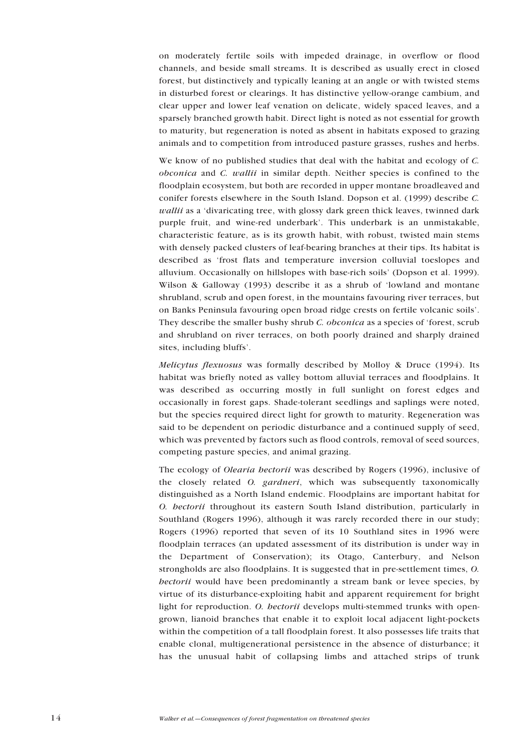on moderately fertile soils with impeded drainage, in overflow or flood channels, and beside small streams. It is described as usually erect in closed forest, but distinctively and typically leaning at an angle or with twisted stems in disturbed forest or clearings. It has distinctive yellow-orange cambium, and clear upper and lower leaf venation on delicate, widely spaced leaves, and a sparsely branched growth habit. Direct light is noted as not essential for growth to maturity, but regeneration is noted as absent in habitats exposed to grazing animals and to competition from introduced pasture grasses, rushes and herbs.

We know of no published studies that deal with the habitat and ecology of *C. obconica* and *C. wallii* in similar depth. Neither species is confined to the floodplain ecosystem, but both are recorded in upper montane broadleaved and conifer forests elsewhere in the South Island. Dopson et al. (1999) describe *C. wallii* as a 'divaricating tree, with glossy dark green thick leaves, twinned dark purple fruit, and wine-red underbark'. This underbark is an unmistakable, characteristic feature, as is its growth habit, with robust, twisted main stems with densely packed clusters of leaf-bearing branches at their tips. Its habitat is described as 'frost flats and temperature inversion colluvial toeslopes and alluvium. Occasionally on hillslopes with base-rich soils' (Dopson et al. 1999). Wilson & Galloway (1993) describe it as a shrub of 'lowland and montane shrubland, scrub and open forest, in the mountains favouring river terraces, but on Banks Peninsula favouring open broad ridge crests on fertile volcanic soils'. They describe the smaller bushy shrub *C. obconica* as a species of 'forest, scrub and shrubland on river terraces, on both poorly drained and sharply drained sites, including bluffs'.

*Melicytus flexuosus* was formally described by Molloy & Druce (1994). Its habitat was briefly noted as valley bottom alluvial terraces and floodplains. It was described as occurring mostly in full sunlight on forest edges and occasionally in forest gaps. Shade-tolerant seedlings and saplings were noted, but the species required direct light for growth to maturity. Regeneration was said to be dependent on periodic disturbance and a continued supply of seed, which was prevented by factors such as flood controls, removal of seed sources, competing pasture species, and animal grazing.

The ecology of *Olearia hectorii* was described by Rogers (1996), inclusive of the closely related *O. gardneri*, which was subsequently taxonomically distinguished as a North Island endemic. Floodplains are important habitat for *O. hectorii* throughout its eastern South Island distribution, particularly in Southland (Rogers 1996), although it was rarely recorded there in our study; Rogers (1996) reported that seven of its 10 Southland sites in 1996 were floodplain terraces (an updated assessment of its distribution is under way in the Department of Conservation); its Otago, Canterbury, and Nelson strongholds are also floodplains. It is suggested that in pre-settlement times, *O. hectorii* would have been predominantly a stream bank or levee species, by virtue of its disturbance-exploiting habit and apparent requirement for bright light for reproduction. *O. hectorii* develops multi-stemmed trunks with opengrown, lianoid branches that enable it to exploit local adjacent light-pockets within the competition of a tall floodplain forest. It also possesses life traits that enable clonal, multigenerational persistence in the absence of disturbance; it has the unusual habit of collapsing limbs and attached strips of trunk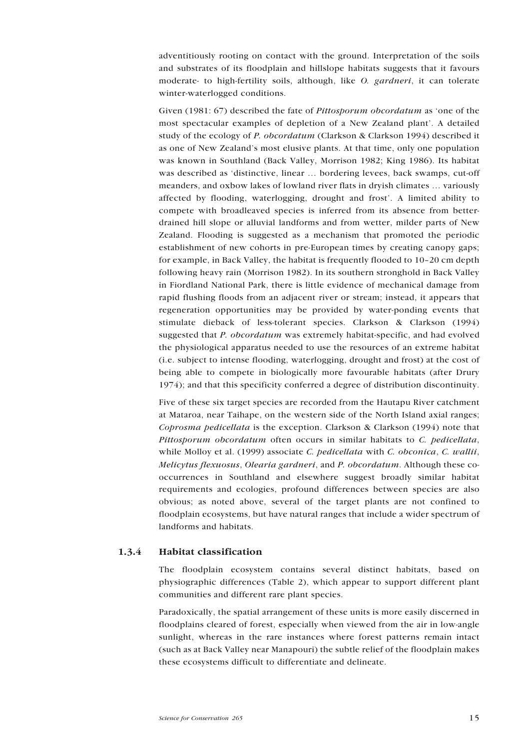<span id="page-14-0"></span>adventitiously rooting on contact with the ground. Interpretation of the soils and substrates of its floodplain and hillslope habitats suggests that it favours moderate- to high-fertility soils, although, like *O. gardneri*, it can tolerate winter-waterlogged conditions.

Given (1981: 67) described the fate of *Pittosporum obcordatum* as 'one of the most spectacular examples of depletion of a New Zealand plant'. A detailed study of the ecology of *P. obcordatum* (Clarkson & Clarkson 1994) described it as one of New Zealand's most elusive plants. At that time, only one population was known in Southland (Back Valley, Morrison 1982; King 1986). Its habitat was described as 'distinctive, linear … bordering levees, back swamps, cut-off meanders, and oxbow lakes of lowland river flats in dryish climates … variously affected by flooding, waterlogging, drought and frost'. A limited ability to compete with broadleaved species is inferred from its absence from betterdrained hill slope or alluvial landforms and from wetter, milder parts of New Zealand. Flooding is suggested as a mechanism that promoted the periodic establishment of new cohorts in pre-European times by creating canopy gaps; for example, in Back Valley, the habitat is frequently flooded to 10–20 cm depth following heavy rain (Morrison 1982). In its southern stronghold in Back Valley in Fiordland National Park, there is little evidence of mechanical damage from rapid flushing floods from an adjacent river or stream; instead, it appears that regeneration opportunities may be provided by water-ponding events that stimulate dieback of less-tolerant species. Clarkson & Clarkson (1994) suggested that *P. obcordatum* was extremely habitat-specific, and had evolved the physiological apparatus needed to use the resources of an extreme habitat (i.e. subject to intense flooding, waterlogging, drought and frost) at the cost of being able to compete in biologically more favourable habitats (after Drury 1974); and that this specificity conferred a degree of distribution discontinuity.

Five of these six target species are recorded from the Hautapu River catchment at Mataroa, near Taihape, on the western side of the North Island axial ranges; *Coprosma pedicellata* is the exception. Clarkson & Clarkson (1994) note that *Pittosporum obcordatum* often occurs in similar habitats to *C. pedicellata*, while Molloy et al. (1999) associate *C. pedicellata* with *C. obconica*, *C. wallii*, *Melicytus flexuosus*, *Olearia gardneri*, and *P. obcordatum*. Although these cooccurrences in Southland and elsewhere suggest broadly similar habitat requirements and ecologies, profound differences between species are also obvious; as noted above, several of the target plants are not confined to floodplain ecosystems, but have natural ranges that include a wider spectrum of landforms and habitats.

## 1.3.4 Habitat classification

The floodplain ecosystem contains several distinct habitats, based on physiographic differences (Table 2), which appear to support different plant communities and different rare plant species.

Paradoxically, the spatial arrangement of these units is more easily discerned in floodplains cleared of forest, especially when viewed from the air in low-angle sunlight, whereas in the rare instances where forest patterns remain intact (such as at Back Valley near Manapouri) the subtle relief of the floodplain makes these ecosystems difficult to differentiate and delineate.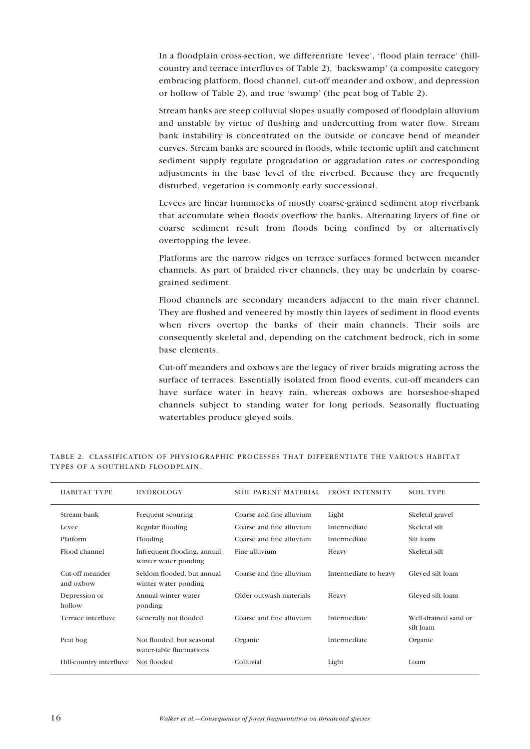In a floodplain cross-section, we differentiate 'levee', 'flood plain terrace' (hillcountry and terrace interfluves of Table 2), 'backswamp' (a composite category embracing platform, flood channel, cut-off meander and oxbow, and depression or hollow of Table 2), and true 'swamp' (the peat bog of Table 2).

Stream banks are steep colluvial slopes usually composed of floodplain alluvium and unstable by virtue of flushing and undercutting from water flow. Stream bank instability is concentrated on the outside or concave bend of meander curves. Stream banks are scoured in floods, while tectonic uplift and catchment sediment supply regulate progradation or aggradation rates or corresponding adjustments in the base level of the riverbed. Because they are frequently disturbed, vegetation is commonly early successional.

Levees are linear hummocks of mostly coarse-grained sediment atop riverbank that accumulate when floods overflow the banks. Alternating layers of fine or coarse sediment result from floods being confined by or alternatively overtopping the levee.

Platforms are the narrow ridges on terrace surfaces formed between meander channels. As part of braided river channels, they may be underlain by coarsegrained sediment.

Flood channels are secondary meanders adjacent to the main river channel. They are flushed and veneered by mostly thin layers of sediment in flood events when rivers overtop the banks of their main channels. Their soils are consequently skeletal and, depending on the catchment bedrock, rich in some base elements.

Cut-off meanders and oxbows are the legacy of river braids migrating across the surface of terraces. Essentially isolated from flood events, cut-off meanders can have surface water in heavy rain, whereas oxbows are horseshoe-shaped channels subject to standing water for long periods. Seasonally fluctuating watertables produce gleyed soils.

| HABITAT TYPE                 | <b>HYDROLOGY</b>                                      | SOIL PARENT MATERIAL     | FROST INTENSITY       | <b>SOIL TYPE</b>                  |
|------------------------------|-------------------------------------------------------|--------------------------|-----------------------|-----------------------------------|
| Stream bank                  | Frequent scouring                                     | Coarse and fine alluvium | Light                 | Skeletal gravel                   |
| Levee                        | Regular flooding                                      | Coarse and fine alluvium | Intermediate          | Skeletal silt                     |
| Platform                     | Flooding                                              | Coarse and fine alluvium | Intermediate          | Silt loam                         |
| Flood channel                | Infrequent flooding, annual<br>winter water ponding   | Fine alluvium            | Heavy                 | Skeletal silt                     |
| Cut-off meander<br>and oxbow | Seldom flooded, but annual<br>winter water ponding    | Coarse and fine alluvium | Intermediate to heavy | Gleyed silt loam                  |
| Depression or<br>hollow      | Annual winter water<br>ponding                        | Older outwash materials  | Heavy                 | Gleved silt loam                  |
| Terrace interfluve           | Generally not flooded                                 | Coarse and fine alluvium | Intermediate          | Well-drained sand or<br>silt loam |
| Peat bog                     | Not flooded, but seasonal<br>water-table fluctuations | Organic                  | Intermediate          | Organic                           |
| Hill-country interfluve      | Not flooded                                           | Colluvial                | Light                 | Loam                              |

TABLE 2. CLASSIFICATION OF PHYSIOGRAPHIC PROCESSES THAT DIFFERENTIATE THE VARIOUS HABITAT TYPES OF A SOUTHLAND FLOODPLAIN.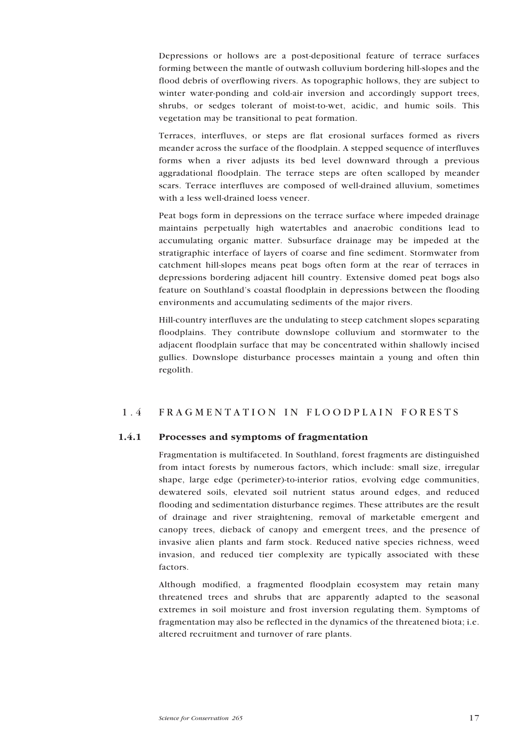<span id="page-16-0"></span>Depressions or hollows are a post-depositional feature of terrace surfaces forming between the mantle of outwash colluvium bordering hill-slopes and the flood debris of overflowing rivers. As topographic hollows, they are subject to winter water-ponding and cold-air inversion and accordingly support trees, shrubs, or sedges tolerant of moist-to-wet, acidic, and humic soils. This vegetation may be transitional to peat formation.

Terraces, interfluves, or steps are flat erosional surfaces formed as rivers meander across the surface of the floodplain. A stepped sequence of interfluves forms when a river adjusts its bed level downward through a previous aggradational floodplain. The terrace steps are often scalloped by meander scars. Terrace interfluves are composed of well-drained alluvium, sometimes with a less well-drained loess veneer.

Peat bogs form in depressions on the terrace surface where impeded drainage maintains perpetually high watertables and anaerobic conditions lead to accumulating organic matter. Subsurface drainage may be impeded at the stratigraphic interface of layers of coarse and fine sediment. Stormwater from catchment hill-slopes means peat bogs often form at the rear of terraces in depressions bordering adjacent hill country. Extensive domed peat bogs also feature on Southland's coastal floodplain in depressions between the flooding environments and accumulating sediments of the major rivers.

Hill-country interfluves are the undulating to steep catchment slopes separating floodplains. They contribute downslope colluvium and stormwater to the adjacent floodplain surface that may be concentrated within shallowly incised gullies. Downslope disturbance processes maintain a young and often thin regolith.

# 1.4 FRAGMENTATION IN FLOODPLAIN FORESTS

# 1.4.1 Processes and symptoms of fragmentation

Fragmentation is multifaceted. In Southland, forest fragments are distinguished from intact forests by numerous factors, which include: small size, irregular shape, large edge (perimeter)-to-interior ratios, evolving edge communities, dewatered soils, elevated soil nutrient status around edges, and reduced flooding and sedimentation disturbance regimes. These attributes are the result of drainage and river straightening, removal of marketable emergent and canopy trees, dieback of canopy and emergent trees, and the presence of invasive alien plants and farm stock. Reduced native species richness, weed invasion, and reduced tier complexity are typically associated with these factors.

Although modified, a fragmented floodplain ecosystem may retain many threatened trees and shrubs that are apparently adapted to the seasonal extremes in soil moisture and frost inversion regulating them. Symptoms of fragmentation may also be reflected in the dynamics of the threatened biota; i.e. altered recruitment and turnover of rare plants.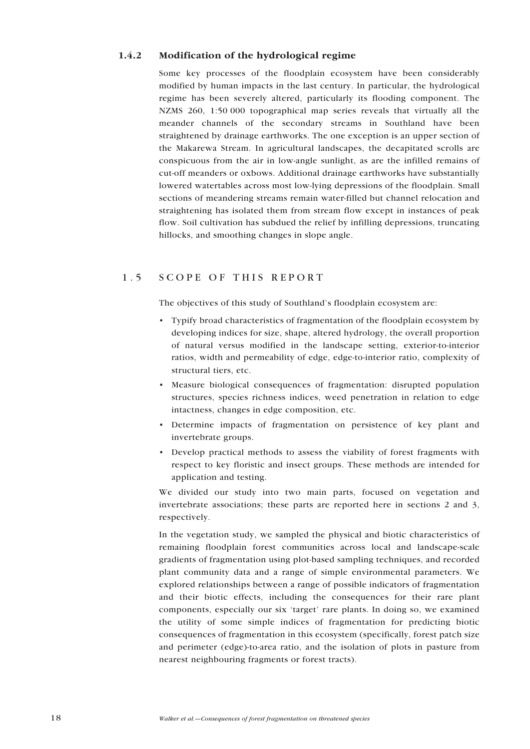# <span id="page-17-0"></span>1.4.2 Modification of the hydrological regime

Some key processes of the floodplain ecosystem have been considerably modified by human impacts in the last century. In particular, the hydrological regime has been severely altered, particularly its flooding component. The NZMS 260, 1:50 000 topographical map series reveals that virtually all the meander channels of the secondary streams in Southland have been straightened by drainage earthworks. The one exception is an upper section of the Makarewa Stream. In agricultural landscapes, the decapitated scrolls are conspicuous from the air in low-angle sunlight, as are the infilled remains of cut-off meanders or oxbows. Additional drainage earthworks have substantially lowered watertables across most low-lying depressions of the floodplain. Small sections of meandering streams remain water-filled but channel relocation and straightening has isolated them from stream flow except in instances of peak flow. Soil cultivation has subdued the relief by infilling depressions, truncating hillocks, and smoothing changes in slope angle.

# 1.5 SCOPE OF THIS REPORT

The objectives of this study of Southland's floodplain ecosystem are:

- Typify broad characteristics of fragmentation of the floodplain ecosystem by developing indices for size, shape, altered hydrology, the overall proportion of natural versus modified in the landscape setting, exterior-to-interior ratios, width and permeability of edge, edge-to-interior ratio, complexity of structural tiers, etc.
- Measure biological consequences of fragmentation: disrupted population structures, species richness indices, weed penetration in relation to edge intactness, changes in edge composition, etc.
- Determine impacts of fragmentation on persistence of key plant and invertebrate groups.
- Develop practical methods to assess the viability of forest fragments with respect to key floristic and insect groups. These methods are intended for application and testing.

We divided our study into two main parts, focused on vegetation and invertebrate associations; these parts are reported here in sections 2 and 3, respectively.

In the vegetation study, we sampled the physical and biotic characteristics of remaining floodplain forest communities across local and landscape-scale gradients of fragmentation using plot-based sampling techniques, and recorded plant community data and a range of simple environmental parameters. We explored relationships between a range of possible indicators of fragmentation and their biotic effects, including the consequences for their rare plant components, especially our six 'target' rare plants. In doing so, we examined the utility of some simple indices of fragmentation for predicting biotic consequences of fragmentation in this ecosystem (specifically, forest patch size and perimeter (edge)-to-area ratio, and the isolation of plots in pasture from nearest neighbouring fragments or forest tracts).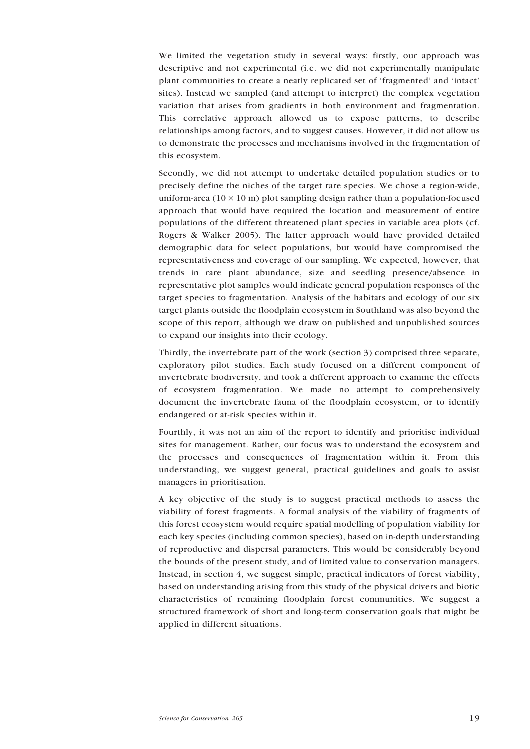<span id="page-18-0"></span>We limited the vegetation study in several ways: firstly, our approach was descriptive and not experimental (i.e. we did not experimentally manipulate plant communities to create a neatly replicated set of 'fragmented' and 'intact' sites). Instead we sampled (and attempt to interpret) the complex vegetation variation that arises from gradients in both environment and fragmentation. This correlative approach allowed us to expose patterns, to describe relationships among factors, and to suggest causes. However, it did not allow us to demonstrate the processes and mechanisms involved in the fragmentation of this ecosystem.

Secondly, we did not attempt to undertake detailed population studies or to precisely define the niches of the target rare species. We chose a region-wide, uniform-area ( $10 \times 10$  m) plot sampling design rather than a population-focused approach that would have required the location and measurement of entire populations of the different threatened plant species in variable area plots (cf. Rogers & Walker 2005). The latter approach would have provided detailed demographic data for select populations, but would have compromised the representativeness and coverage of our sampling. We expected, however, that trends in rare plant abundance, size and seedling presence/absence in representative plot samples would indicate general population responses of the target species to fragmentation. Analysis of the habitats and ecology of our six target plants outside the floodplain ecosystem in Southland was also beyond the scope of this report, although we draw on published and unpublished sources to expand our insights into their ecology.

Thirdly, the invertebrate part of the work (section 3) comprised three separate, exploratory pilot studies. Each study focused on a different component of invertebrate biodiversity, and took a different approach to examine the effects of ecosystem fragmentation. We made no attempt to comprehensively document the invertebrate fauna of the floodplain ecosystem, or to identify endangered or at-risk species within it.

Fourthly, it was not an aim of the report to identify and prioritise individual sites for management. Rather, our focus was to understand the ecosystem and the processes and consequences of fragmentation within it. From this understanding, we suggest general, practical guidelines and goals to assist managers in prioritisation.

A key objective of the study is to suggest practical methods to assess the viability of forest fragments. A formal analysis of the viability of fragments of this forest ecosystem would require spatial modelling of population viability for each key species (including common species), based on in-depth understanding of reproductive and dispersal parameters. This would be considerably beyond the bounds of the present study, and of limited value to conservation managers. Instead, in section 4, we suggest simple, practical indicators of forest viability, based on understanding arising from this study of the physical drivers and biotic characteristics of remaining floodplain forest communities. We suggest a structured framework of short and long-term conservation goals that might be applied in different situations.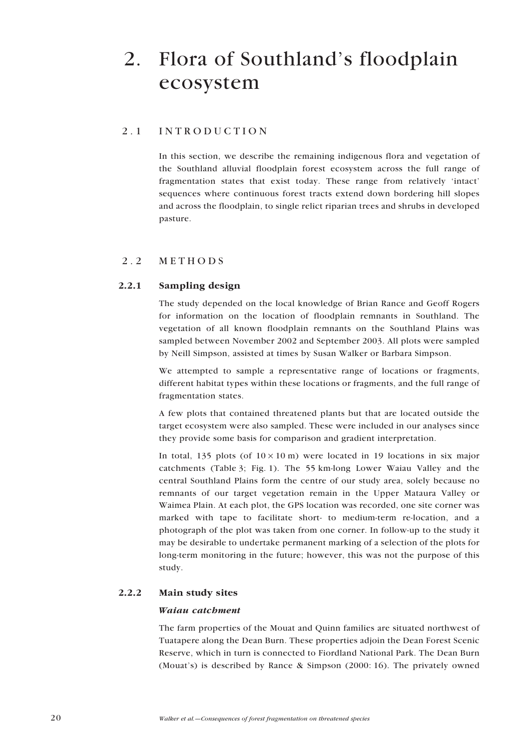# <span id="page-19-0"></span>2. Flora of Southland's floodplain ecosystem

# 2.1 INTRODUCTION

In this section, we describe the remaining indigenous flora and vegetation of the Southland alluvial floodplain forest ecosystem across the full range of fragmentation states that exist today. These range from relatively 'intact' sequences where continuous forest tracts extend down bordering hill slopes and across the floodplain, to single relict riparian trees and shrubs in developed pasture.

# 2.2 METHODS

# 2.2.1 Sampling design

The study depended on the local knowledge of Brian Rance and Geoff Rogers for information on the location of floodplain remnants in Southland. The vegetation of all known floodplain remnants on the Southland Plains was sampled between November 2002 and September 2003. All plots were sampled by Neill Simpson, assisted at times by Susan Walker or Barbara Simpson.

We attempted to sample a representative range of locations or fragments, different habitat types within these locations or fragments, and the full range of fragmentation states.

A few plots that contained threatened plants but that are located outside the target ecosystem were also sampled. These were included in our analyses since they provide some basis for comparison and gradient interpretation.

In total, 135 plots (of  $10 \times 10$  m) were located in 19 locations in six major catchments (Table 3; Fig. 1). The 55 km-long Lower Waiau Valley and the central Southland Plains form the centre of our study area, solely because no remnants of our target vegetation remain in the Upper Mataura Valley or Waimea Plain. At each plot, the GPS location was recorded, one site corner was marked with tape to facilitate short- to medium-term re-location, and a photograph of the plot was taken from one corner. In follow-up to the study it may be desirable to undertake permanent marking of a selection of the plots for long-term monitoring in the future; however, this was not the purpose of this study.

# 2.2.2 Main study sites

#### *Waiau catchment*

The farm properties of the Mouat and Quinn families are situated northwest of Tuatapere along the Dean Burn. These properties adjoin the Dean Forest Scenic Reserve, which in turn is connected to Fiordland National Park. The Dean Burn (Mouat's) is described by Rance & Simpson (2000: 16). The privately owned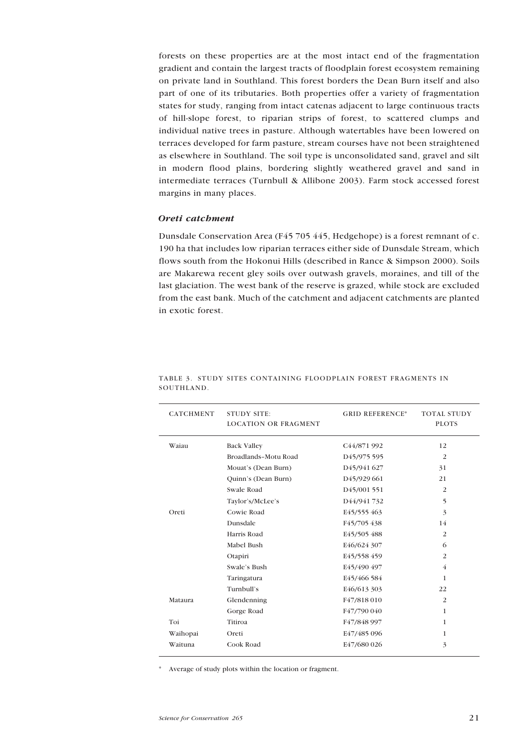forests on these properties are at the most intact end of the fragmentation gradient and contain the largest tracts of floodplain forest ecosystem remaining on private land in Southland. This forest borders the Dean Burn itself and also part of one of its tributaries. Both properties offer a variety of fragmentation states for study, ranging from intact catenas adjacent to large continuous tracts of hill-slope forest, to riparian strips of forest, to scattered clumps and individual native trees in pasture. Although watertables have been lowered on terraces developed for farm pasture, stream courses have not been straightened as elsewhere in Southland. The soil type is unconsolidated sand, gravel and silt in modern flood plains, bordering slightly weathered gravel and sand in intermediate terraces (Turnbull & Allibone 2003). Farm stock accessed forest margins in many places.

## *Oreti catchment*

Dunsdale Conservation Area (F45 705 445, Hedgehope) is a forest remnant of c. 190 ha that includes low riparian terraces either side of Dunsdale Stream, which flows south from the Hokonui Hills (described in Rance & Simpson 2000). Soils are Makarewa recent gley soils over outwash gravels, moraines, and till of the last glaciation. The west bank of the reserve is grazed, while stock are excluded from the east bank. Much of the catchment and adjacent catchments are planted in exotic forest.

| <b>CATCHMENT</b> | <b>STUDY SITE:</b><br><b>LOCATION OR FRAGMENT</b> | <b>GRID REFERENCE*</b>   | <b>TOTAL STUDY</b><br><b>PLOTS</b> |
|------------------|---------------------------------------------------|--------------------------|------------------------------------|
| Waiau            | <b>Back Valley</b>                                | C <sub>44</sub> /871 992 | 12                                 |
|                  | Broadlands-Motu Road                              | D <sub>45</sub> /975 595 | $\overline{2}$                     |
|                  | Mouat's (Dean Burn)                               | D45/941 627              | 31                                 |
|                  | Quinn's (Dean Burn)                               | D <sub>45</sub> /929 661 | 21                                 |
|                  | Swale Road                                        | D <sub>45</sub> /001 551 | $\overline{2}$                     |
|                  | Taylor's/McLee's                                  | D44/941732               | 5                                  |
| Oreti            | Cowie Road                                        | E45/555 463              | 3                                  |
|                  | Dunsdale                                          | F45/705 438              | 14                                 |
|                  | Harris Road                                       | E45/505 488              | $\overline{2}$                     |
|                  | Mabel Bush                                        | E46/624 307              | 6                                  |
|                  | Otapiri                                           | E45/558 459              | $\overline{2}$                     |
|                  | Swale's Bush                                      | E45/490 497              | 4                                  |
|                  | Taringatura                                       | E45/466 584              | 1                                  |
|                  | Turnbull's                                        | E46/613 303              | 22                                 |
| Mataura          | Glendenning                                       | F47/818010               | $\overline{2}$                     |
|                  | Gorge Road                                        | F47/790 040              | $\mathbf{1}$                       |
| Toi              | Titiroa                                           | F47/848 997              | 1                                  |
| Waihopai         | Oreti                                             | E47/485 096              | 1                                  |
| Waituna          | Cook Road                                         | E47/680 026              | 3                                  |

TABLE 3. STUDY SITES CONTAINING FLOODPLAIN FOREST FRAGMENTS IN **SOUTHLAND.** 

\* Average of study plots within the location or fragment.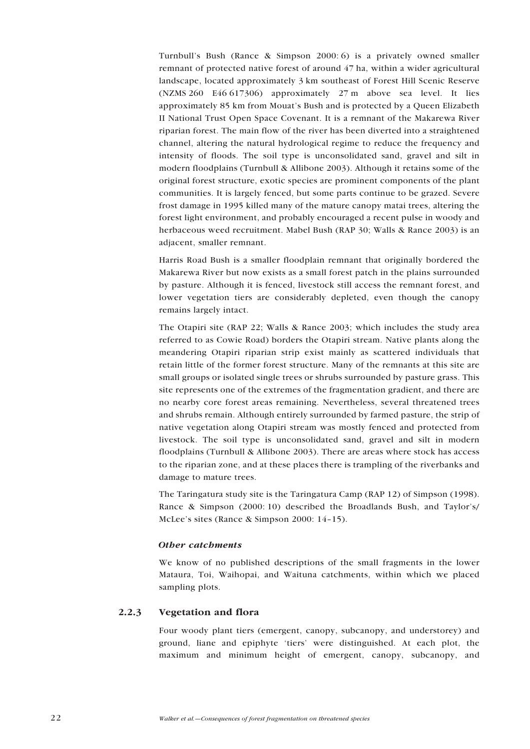<span id="page-21-0"></span>Turnbull's Bush (Rance & Simpson 2000: 6) is a privately owned smaller remnant of protected native forest of around 47 ha, within a wider agricultural landscape, located approximately 3 km southeast of Forest Hill Scenic Reserve (NZMS 260 E46 617306) approximately 27 m above sea level. It lies approximately 85 km from Mouat's Bush and is protected by a Queen Elizabeth II National Trust Open Space Covenant. It is a remnant of the Makarewa River riparian forest. The main flow of the river has been diverted into a straightened channel, altering the natural hydrological regime to reduce the frequency and intensity of floods. The soil type is unconsolidated sand, gravel and silt in modern floodplains (Turnbull & Allibone 2003). Although it retains some of the original forest structure, exotic species are prominent components of the plant communities. It is largely fenced, but some parts continue to be grazed. Severe frost damage in 1995 killed many of the mature canopy matai trees, altering the forest light environment, and probably encouraged a recent pulse in woody and herbaceous weed recruitment. Mabel Bush (RAP 30; Walls & Rance 2003) is an adjacent, smaller remnant.

Harris Road Bush is a smaller floodplain remnant that originally bordered the Makarewa River but now exists as a small forest patch in the plains surrounded by pasture. Although it is fenced, livestock still access the remnant forest, and lower vegetation tiers are considerably depleted, even though the canopy remains largely intact.

The Otapiri site (RAP 22; Walls & Rance 2003; which includes the study area referred to as Cowie Road) borders the Otapiri stream. Native plants along the meandering Otapiri riparian strip exist mainly as scattered individuals that retain little of the former forest structure. Many of the remnants at this site are small groups or isolated single trees or shrubs surrounded by pasture grass. This site represents one of the extremes of the fragmentation gradient, and there are no nearby core forest areas remaining. Nevertheless, several threatened trees and shrubs remain. Although entirely surrounded by farmed pasture, the strip of native vegetation along Otapiri stream was mostly fenced and protected from livestock. The soil type is unconsolidated sand, gravel and silt in modern floodplains (Turnbull & Allibone 2003). There are areas where stock has access to the riparian zone, and at these places there is trampling of the riverbanks and damage to mature trees.

The Taringatura study site is the Taringatura Camp (RAP 12) of Simpson (1998). Rance & Simpson (2000: 10) described the Broadlands Bush, and Taylor's/ McLee's sites (Rance & Simpson 2000: 14–15).

#### *Other catchments*

We know of no published descriptions of the small fragments in the lower Mataura, Toi, Waihopai, and Waituna catchments, within which we placed sampling plots.

# 2.2.3 Vegetation and flora

Four woody plant tiers (emergent, canopy, subcanopy, and understorey) and ground, liane and epiphyte 'tiers' were distinguished. At each plot, the maximum and minimum height of emergent, canopy, subcanopy, and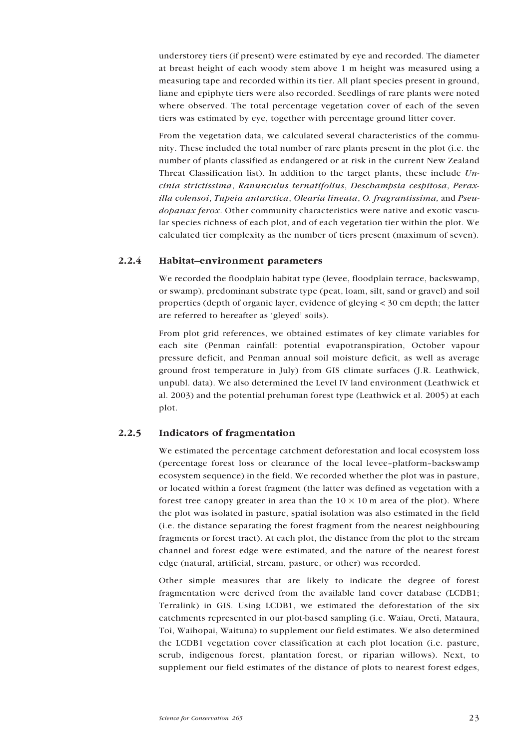<span id="page-22-0"></span>understorey tiers (if present) were estimated by eye and recorded. The diameter at breast height of each woody stem above 1 m height was measured using a measuring tape and recorded within its tier. All plant species present in ground, liane and epiphyte tiers were also recorded. Seedlings of rare plants were noted where observed. The total percentage vegetation cover of each of the seven tiers was estimated by eye, together with percentage ground litter cover.

From the vegetation data, we calculated several characteristics of the community. These included the total number of rare plants present in the plot (i.e. the number of plants classified as endangered or at risk in the current New Zealand Threat Classification list). In addition to the target plants, these include *Uncinia strictissima*, *Ranunculus ternatifolius*, *Deschampsia cespitosa*, *Peraxilla colensoi*, *Tupeia antarctica*, *Olearia lineata*, *O. fragrantissima,* and *Pseudopanax ferox*. Other community characteristics were native and exotic vascular species richness of each plot, and of each vegetation tier within the plot. We calculated tier complexity as the number of tiers present (maximum of seven).

## 2.2.4 Habitat–environment parameters

We recorded the floodplain habitat type (levee, floodplain terrace, backswamp, or swamp), predominant substrate type (peat, loam, silt, sand or gravel) and soil properties (depth of organic layer, evidence of gleying < 30 cm depth; the latter are referred to hereafter as 'gleyed' soils).

From plot grid references, we obtained estimates of key climate variables for each site (Penman rainfall: potential evapotranspiration, October vapour pressure deficit, and Penman annual soil moisture deficit, as well as average ground frost temperature in July) from GIS climate surfaces (J.R. Leathwick, unpubl. data). We also determined the Level IV land environment (Leathwick et al. 2003) and the potential prehuman forest type (Leathwick et al. 2005) at each plot.

### 2.2.5 Indicators of fragmentation

We estimated the percentage catchment deforestation and local ecosystem loss (percentage forest loss or clearance of the local levee–platform–backswamp ecosystem sequence) in the field. We recorded whether the plot was in pasture, or located within a forest fragment (the latter was defined as vegetation with a forest tree canopy greater in area than the  $10 \times 10$  m area of the plot). Where the plot was isolated in pasture, spatial isolation was also estimated in the field (i.e. the distance separating the forest fragment from the nearest neighbouring fragments or forest tract). At each plot, the distance from the plot to the stream channel and forest edge were estimated, and the nature of the nearest forest edge (natural, artificial, stream, pasture, or other) was recorded.

Other simple measures that are likely to indicate the degree of forest fragmentation were derived from the available land cover database (LCDB1; Terralink) in GIS. Using LCDB1, we estimated the deforestation of the six catchments represented in our plot-based sampling (i.e. Waiau, Oreti, Mataura, Toi, Waihopai, Waituna) to supplement our field estimates. We also determined the LCDB1 vegetation cover classification at each plot location (i.e. pasture, scrub, indigenous forest, plantation forest, or riparian willows). Next, to supplement our field estimates of the distance of plots to nearest forest edges,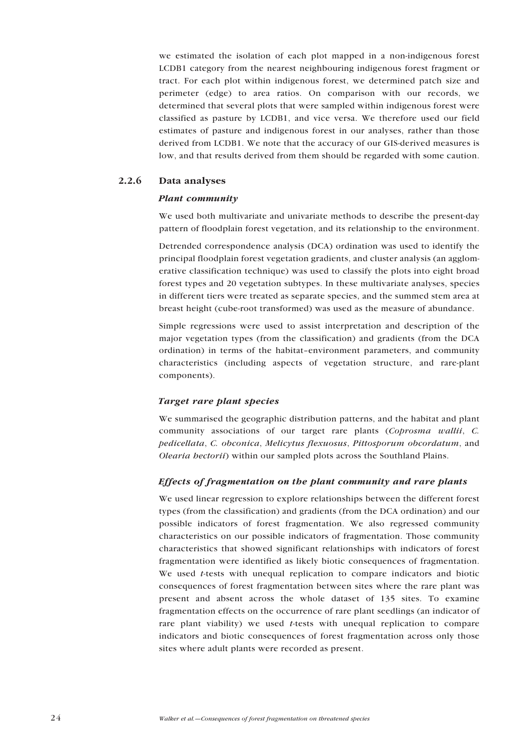<span id="page-23-0"></span>we estimated the isolation of each plot mapped in a non-indigenous forest LCDB1 category from the nearest neighbouring indigenous forest fragment or tract. For each plot within indigenous forest, we determined patch size and perimeter (edge) to area ratios. On comparison with our records, we determined that several plots that were sampled within indigenous forest were classified as pasture by LCDB1, and vice versa. We therefore used our field estimates of pasture and indigenous forest in our analyses, rather than those derived from LCDB1. We note that the accuracy of our GIS-derived measures is low, and that results derived from them should be regarded with some caution.

# 2.2.6 Data analyses

# *Plant community*

We used both multivariate and univariate methods to describe the present-day pattern of floodplain forest vegetation, and its relationship to the environment.

Detrended correspondence analysis (DCA) ordination was used to identify the principal floodplain forest vegetation gradients, and cluster analysis (an agglomerative classification technique) was used to classify the plots into eight broad forest types and 20 vegetation subtypes. In these multivariate analyses, species in different tiers were treated as separate species, and the summed stem area at breast height (cube-root transformed) was used as the measure of abundance.

Simple regressions were used to assist interpretation and description of the major vegetation types (from the classification) and gradients (from the DCA ordination) in terms of the habitat–environment parameters, and community characteristics (including aspects of vegetation structure, and rare-plant components).

# *Target rare plant species*

We summarised the geographic distribution patterns, and the habitat and plant community associations of our target rare plants (*Coprosma wallii*, *C. pedicellata*, *C. obconica*, *Melicytus flexuosus*, *Pittosporum obcordatum*, and *Olearia hectorii*) within our sampled plots across the Southland Plains.

# *Effects of fragmentation on the plant community and rare plants*

We used linear regression to explore relationships between the different forest types (from the classification) and gradients (from the DCA ordination) and our possible indicators of forest fragmentation. We also regressed community characteristics on our possible indicators of fragmentation. Those community characteristics that showed significant relationships with indicators of forest fragmentation were identified as likely biotic consequences of fragmentation. We used *t*-tests with unequal replication to compare indicators and biotic consequences of forest fragmentation between sites where the rare plant was present and absent across the whole dataset of 135 sites. To examine fragmentation effects on the occurrence of rare plant seedlings (an indicator of rare plant viability) we used *t*-tests with unequal replication to compare indicators and biotic consequences of forest fragmentation across only those sites where adult plants were recorded as present.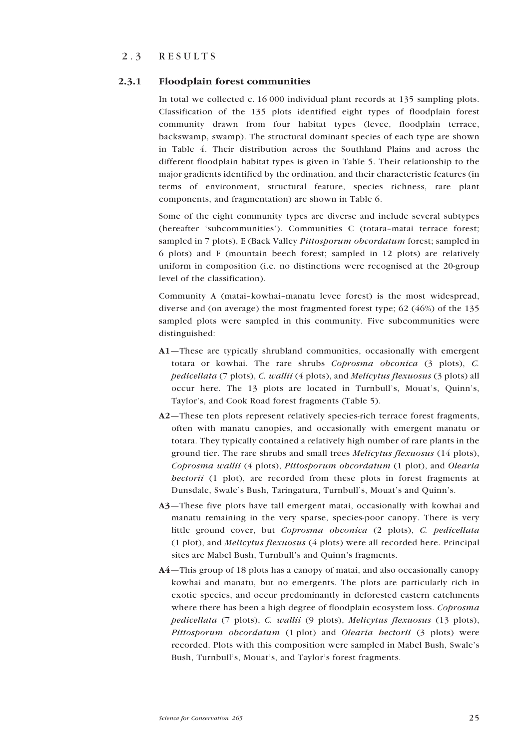# <span id="page-24-0"></span>2.3 RESULTS

## 2.3.1 Floodplain forest communities

In total we collected c. 16 000 individual plant records at 135 sampling plots. Classification of the 135 plots identified eight types of floodplain forest community drawn from four habitat types (levee, floodplain terrace, backswamp, swamp). The structural dominant species of each type are shown in Table 4. Their distribution across the Southland Plains and across the different floodplain habitat types is given in Table 5. Their relationship to the major gradients identified by the ordination, and their characteristic features (in terms of environment, structural feature, species richness, rare plant components, and fragmentation) are shown in Table 6.

Some of the eight community types are diverse and include several subtypes (hereafter 'subcommunities'). Communities C (totara–matai terrace forest; sampled in 7 plots), E (Back Valley *Pittosporum obcordatum* forest; sampled in 6 plots) and F (mountain beech forest; sampled in 12 plots) are relatively uniform in composition (i.e. no distinctions were recognised at the 20-group level of the classification).

Community A (matai–kowhai–manatu levee forest) is the most widespread, diverse and (on average) the most fragmented forest type; 62 (46%) of the 135 sampled plots were sampled in this community. Five subcommunities were distinguished:

- A1—These are typically shrubland communities, occasionally with emergent totara or kowhai. The rare shrubs *Coprosma obconica* (3 plots), *C. pedicellata* (7 plots), *C. wallii* (4 plots), and *Melicytus flexuosus* (3 plots) all occur here. The 13 plots are located in Turnbull's, Mouat's, Quinn's, Taylor's, and Cook Road forest fragments (Table 5).
- A2—These ten plots represent relatively species-rich terrace forest fragments, often with manatu canopies, and occasionally with emergent manatu or totara. They typically contained a relatively high number of rare plants in the ground tier. The rare shrubs and small trees *Melicytus flexuosus* (14 plots), *Coprosma wallii* (4 plots), *Pittosporum obcordatum* (1 plot), and *Olearia hectorii* (1 plot), are recorded from these plots in forest fragments at Dunsdale, Swale's Bush, Taringatura, Turnbull's, Mouat's and Quinn's.
- A3—These five plots have tall emergent matai, occasionally with kowhai and manatu remaining in the very sparse, species-poor canopy. There is very little ground cover, but *Coprosma obconica* (2 plots), *C. pedicellata* (1 plot), and *Melicytus flexuosus* (4 plots) were all recorded here. Principal sites are Mabel Bush, Turnbull's and Quinn's fragments.
- A4—This group of 18 plots has a canopy of matai, and also occasionally canopy kowhai and manatu, but no emergents. The plots are particularly rich in exotic species, and occur predominantly in deforested eastern catchments where there has been a high degree of floodplain ecosystem loss. *Coprosma pedicellata* (7 plots), *C. wallii* (9 plots), *Melicytus flexuosus* (13 plots), *Pittosporum obcordatum* (1 plot) and *Olearia hectorii* (3 plots) were recorded. Plots with this composition were sampled in Mabel Bush, Swale's Bush, Turnbull's, Mouat's, and Taylor's forest fragments.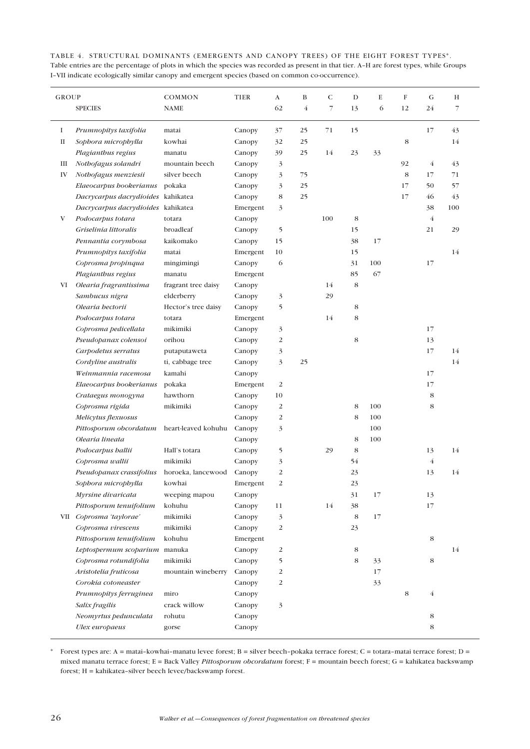TABLE 4. STRUCTURAL DOMINANTS (EMERGENTS AND CANOPY TREES) OF THE EIGHT FOREST TYPES\*. Table entries are the percentage of plots in which the species was recorded as present in that tier. A–H are forest types, while Groups I–VII indicate ecologically similar canopy and emergent species (based on common co-occurrence).

| <b>GROUP</b> |                                    | COMMON              | <b>TIER</b> | A                        | B              | C              | D  | E   | F  | G              | H                        |
|--------------|------------------------------------|---------------------|-------------|--------------------------|----------------|----------------|----|-----|----|----------------|--------------------------|
|              | <b>SPECIES</b>                     | <b>NAME</b>         |             | 62                       | $\overline{4}$ | $\overline{7}$ | 13 | 6   | 12 | 24             | $\overline{\phantom{a}}$ |
| I            | Prumnopitys taxifolia              | matai               | Canopy      | 37                       | 25             | 71             | 15 |     |    | 17             | 43                       |
| П            | Sophora microphylla                | kowhai              | Canopy      | 32                       | 25             |                |    |     | 8  |                | 14                       |
|              | Plagianthus regius                 | manatu              | Canopy      | 39                       | 25             | 14             | 23 | 33  |    |                |                          |
| Ш            | Nothofagus solandri                | mountain beech      | Canopy      | 3                        |                |                |    |     | 92 | $\overline{4}$ | 43                       |
| IV           | Nothofagus menziesii               | silver beech        | Canopy      | 3                        | 75             |                |    |     | 8  | 17             | 71                       |
|              | Elaeocarpus bookerianus            | pokaka              | Canopy      | 3                        | 25             |                |    |     | 17 | 50             | 57                       |
|              | Dacrycarpus dacrydioides kahikatea |                     | Canopy      | 8                        | 25             |                |    |     | 17 | 46             | 43                       |
|              | Dacrycarpus dacrydioides kahikatea |                     | Emergent    | 3                        |                |                |    |     |    | 38             | 100                      |
| V            | Podocarpus totara                  | totara              | Canopy      |                          |                | 100            | 8  |     |    | $\overline{4}$ |                          |
|              | Griselinia littoralis              | broadleaf           | Canopy      | 5                        |                |                | 15 |     |    | 21             | 29                       |
|              | Pennantia corymbosa                | kaikomako           | Canopy      | 15                       |                |                | 38 | 17  |    |                |                          |
|              | Prumnopitys taxifolia              | matai               | Emergent    | 10                       |                |                | 15 |     |    |                | 14                       |
|              | Coprosma propinqua                 | mingimingi          | Canopy      | 6                        |                |                | 31 | 100 |    | 17             |                          |
|              | Plagianthus regius                 | manatu              | Emergent    |                          |                |                | 85 | 67  |    |                |                          |
| VI           | Olearia fragrantissima             | fragrant tree daisy | Canopy      |                          |                | 14             | 8  |     |    |                |                          |
|              | Sambucus nigra                     | elderberry          | Canopy      | 3                        |                | 29             |    |     |    |                |                          |
|              | Olearia hectorii                   | Hector's tree daisy | Canopy      | 5                        |                |                | 8  |     |    |                |                          |
|              | Podocarpus totara                  | totara              | Emergent    |                          |                | 14             | 8  |     |    |                |                          |
|              | Coprosma pedicellata               | mikimiki            | Canopy      | 3                        |                |                |    |     |    | 17             |                          |
|              | Pseudopanax colensoi               | orihou              | Canopy      | 2                        |                |                | 8  |     |    | 13             |                          |
|              | Carpodetus serratus                | putaputaweta        | Canopy      | 3                        |                |                |    |     |    | 17             | 14                       |
|              | Cordyline australis                | ti, cabbage tree    | Canopy      | 3                        | 25             |                |    |     |    |                | 14                       |
|              | Weinmannia racemosa                | kamahi              | Canopy      |                          |                |                |    |     |    | 17             |                          |
|              | Elaeocarpus bookerianus            | pokaka              | Emergent    | 2                        |                |                |    |     |    | 17             |                          |
|              | Crataegus monogyna                 | hawthorn            | Canopy      | 10                       |                |                |    |     |    | 8              |                          |
|              | Coprosma rigida                    | mikimiki            | Canopy      | 2                        |                |                | 8  | 100 |    | 8              |                          |
|              | Melicytus flexuosus                |                     | Canopy      | 2                        |                |                | 8  | 100 |    |                |                          |
|              | Pittosporum obcordatum             | heart-leaved kohuhu | Canopy      | 3                        |                |                |    | 100 |    |                |                          |
|              | Olearia lineata                    |                     | Canopy      |                          |                |                | 8  | 100 |    |                |                          |
|              | Podocarpus ballii                  | Hall's totara       | Canopy      | 5                        |                | 29             | 8  |     |    | 13             | 14                       |
|              | Coprosma wallii                    | mikimiki            | Canopy      | 3                        |                |                | 54 |     |    | $\overline{4}$ |                          |
|              | Pseudopanax crassifolius           | horoeka, lancewood  | Canopy      | 2                        |                |                | 23 |     |    | 13             | 14                       |
|              | Sophora microphylla                | kowhai              | Emergent    | $\overline{\mathcal{L}}$ |                |                | 23 |     |    |                |                          |
|              | Myrsine divaricata                 | weeping mapou       | Canopy      |                          |                |                | 31 | 17  |    | 13             |                          |
|              | Pittosporum tenuifolium            | kohuhu              | Canopy      | 11                       |                | 14             | 38 |     |    | 17             |                          |
|              | VII Coprosma 'taylorae'            | mikimiki            | Canopy      | 3                        |                |                | 8  | 17  |    |                |                          |
|              | Coprosma virescens                 | mikimiki            | Canopy      | 2                        |                |                | 23 |     |    |                |                          |
|              | Pittosporum tenuifolium            | kohuhu              | Emergent    |                          |                |                |    |     |    | $\,$ 8 $\,$    |                          |
|              | Leptospermum scoparium manuka      |                     | Canopy      | 2                        |                |                | 8  |     |    |                | 14                       |
|              | Coprosma rotundifolia              | mikimiki            | Canopy      | 5                        |                |                | 8  | 33  |    | 8              |                          |
|              | Aristotelia fruticosa              | mountain wineberry  | Canopy      | 2                        |                |                |    | 17  |    |                |                          |
|              | Corokia cotoneaster                |                     | Canopy      | 2                        |                |                |    | 33  |    |                |                          |
|              | Prumnopitys ferruginea             | miro                | Canopy      |                          |                |                |    |     | 8  | $\overline{4}$ |                          |
|              | Salix fragilis                     | crack willow        | Canopy      | 3                        |                |                |    |     |    |                |                          |
|              | Neomyrtus pedunculata              | rohutu              | Canopy      |                          |                |                |    |     |    | 8              |                          |
|              | Ulex europaeus                     | gorse               | Canopy      |                          |                |                |    |     |    | 8              |                          |

\* Forest types are:  $A = \text{matai-kowhai-manatu levee forest}; B = \text{silver beech-pokaka terrace forest}; C = \text{totara-matai terrace forest}; D = \text{totara-matai terrace forest}}$ mixed manatu terrace forest; E = Back Valley *Pittosporum obcordatum* forest; F = mountain beech forest; G = kahikatea backswamp forest; H = kahikatea–silver beech levee/backswamp forest.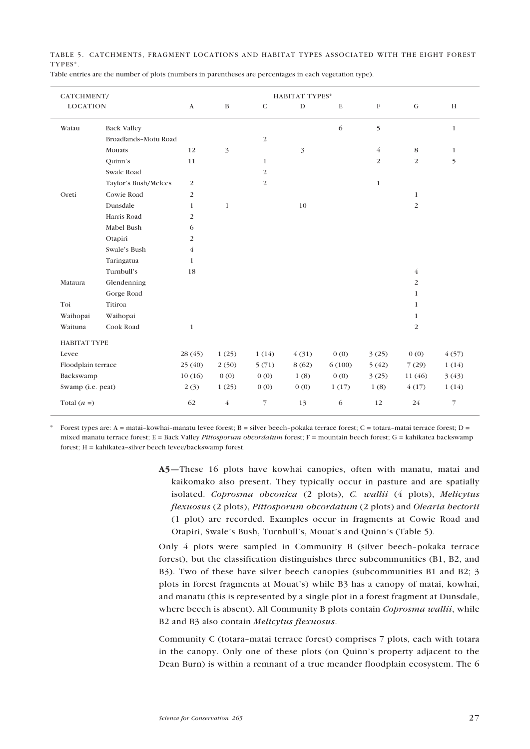TABLE 5. CATCHMENTS, FRAGMENT LOCATIONS AND HABITAT TYPES ASSOCIATED WITH THE EIGHT FOREST TYPES\*.

| CATCHMENT/          |                      | <b>HABITAT TYPES*</b> |                |                |             |        |                |                |                |
|---------------------|----------------------|-----------------------|----------------|----------------|-------------|--------|----------------|----------------|----------------|
| <b>LOCATION</b>     |                      | $\mathbf{A}$          | $\, {\bf B}$   | $\mathsf{C}$   | $\mathbf D$ | E      | F              | ${\bf G}$      | $\,$ H         |
| Waiau               | <b>Back Valley</b>   |                       |                |                |             | 6      | 5              |                | $\mathbf{1}$   |
|                     | Broadlands-Motu Road |                       |                | $\overline{c}$ |             |        |                |                |                |
|                     | Mouats               | 12                    | 3              |                | 3           |        | $\overline{4}$ | 8              | $\mathbf{1}$   |
|                     | Quinn's              | 11                    |                | $\mathbf{1}$   |             |        | $\overline{2}$ | $\overline{2}$ | 5              |
|                     | Swale Road           |                       |                | $\overline{2}$ |             |        |                |                |                |
|                     | Taylor's Bush/Mclees | $\overline{c}$        |                | $\overline{c}$ |             |        | $\mathbf{1}$   |                |                |
| Oreti               | Cowie Road           | $\overline{c}$        |                |                |             |        |                | $\mathbf{1}$   |                |
|                     | Dunsdale             | 1                     | $\mathbf{1}$   |                | 10          |        |                | $\overline{2}$ |                |
|                     | Harris Road          | $\overline{c}$        |                |                |             |        |                |                |                |
|                     | Mabel Bush           | 6                     |                |                |             |        |                |                |                |
|                     | Otapiri              | $\overline{2}$        |                |                |             |        |                |                |                |
|                     | Swale's Bush         | 4                     |                |                |             |        |                |                |                |
|                     | Taringatua           | $\mathbf{1}$          |                |                |             |        |                |                |                |
|                     | Turnbull's           | 18                    |                |                |             |        |                | $\overline{4}$ |                |
| Mataura             | Glendenning          |                       |                |                |             |        |                | 2              |                |
|                     | Gorge Road           |                       |                |                |             |        |                | 1              |                |
| Toi                 | Titiroa              |                       |                |                |             |        |                | $\mathbf{1}$   |                |
| Waihopai            | Waihopai             |                       |                |                |             |        |                | 1              |                |
| Waituna             | Cook Road            | $\mathbf{1}$          |                |                |             |        |                | 2              |                |
| <b>HABITAT TYPE</b> |                      |                       |                |                |             |        |                |                |                |
| Levee               |                      | 28(45)                | 1(25)          | 1(14)          | 4(31)       | 0(0)   | 3(25)          | 0(0)           | 4(57)          |
| Floodplain terrace  |                      | 25(40)                | 2(50)          | 5(71)          | 8(62)       | 6(100) | 5(42)          | 7(29)          | 1(14)          |
| Backswamp           |                      | 10(16)                | 0(0)           | 0(0)           | 1(8)        | 0(0)   | 3(25)          | 11 (46)        | 3(43)          |
| Swamp (i.e. peat)   |                      | 2(3)                  | 1(25)          | 0(0)           | 0(0)        | 1(17)  | 1(8)           | 4(17)          | 1(14)          |
| Total $(n =)$       |                      | 62                    | $\overline{4}$ | 7              | 13          | 6      | 12             | 24             | $\overline{7}$ |

Table entries are the number of plots (numbers in parentheses are percentages in each vegetation type).

Forest types are: A = matai-kowhai-manatu levee forest; B = silver beech-pokaka terrace forest; C = totara-matai terrace forest; D = mixed manatu terrace forest; E = Back Valley *Pittosporum obcordatum* forest; F = mountain beech forest; G = kahikatea backswamp forest; H = kahikatea–silver beech levee/backswamp forest.

> A5—These 16 plots have kowhai canopies, often with manatu, matai and kaikomako also present. They typically occur in pasture and are spatially isolated. *Coprosma obconica* (2 plots), *C. wallii* (4 plots), *Melicytus flexuosus* (2 plots), *Pittosporum obcordatum* (2 plots) and *Olearia hectorii* (1 plot) are recorded. Examples occur in fragments at Cowie Road and Otapiri, Swale's Bush, Turnbull's, Mouat's and Quinn's (Table 5).

> Only 4 plots were sampled in Community B (silver beech–pokaka terrace forest), but the classification distinguishes three subcommunities (B1, B2, and B3). Two of these have silver beech canopies (subcommunities B1 and B2; 3 plots in forest fragments at Mouat's) while B3 has a canopy of matai, kowhai, and manatu (this is represented by a single plot in a forest fragment at Dunsdale, where beech is absent). All Community B plots contain *Coprosma wallii*, while B2 and B3 also contain *Melicytus flexuosus*.

> Community C (totara–matai terrace forest) comprises 7 plots, each with totara in the canopy. Only one of these plots (on Quinn's property adjacent to the Dean Burn) is within a remnant of a true meander floodplain ecosystem. The 6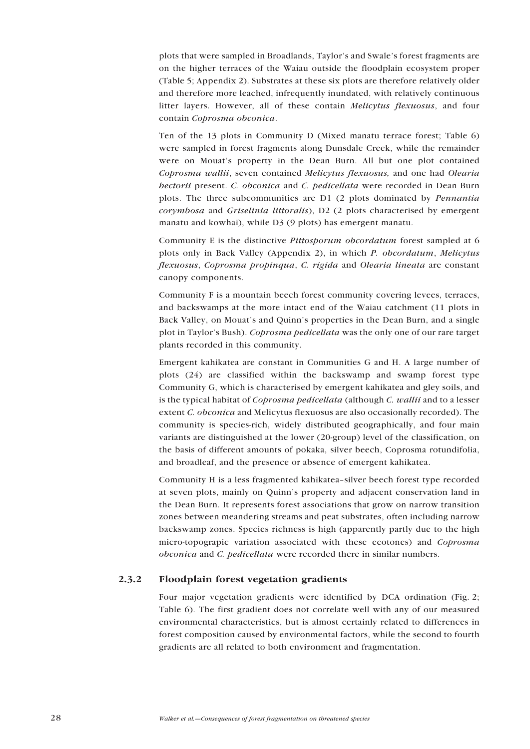<span id="page-27-0"></span>plots that were sampled in Broadlands, Taylor's and Swale's forest fragments are on the higher terraces of the Waiau outside the floodplain ecosystem proper (Table 5; Appendix 2). Substrates at these six plots are therefore relatively older and therefore more leached, infrequently inundated, with relatively continuous litter layers. However, all of these contain *Melicytus flexuosus*, and four contain *Coprosma obconica*.

Ten of the 13 plots in Community D (Mixed manatu terrace forest; Table 6) were sampled in forest fragments along Dunsdale Creek, while the remainder were on Mouat's property in the Dean Burn. All but one plot contained *Coprosma wallii*, seven contained *Melicytus flexuosus,* and one had *Olearia hectorii* present. *C. obconica* and *C. pedicellata* were recorded in Dean Burn plots. The three subcommunities are D1 (2 plots dominated by *Pennantia corymbosa* and *Griselinia littoralis*), D2 (2 plots characterised by emergent manatu and kowhai), while D3 (9 plots) has emergent manatu.

Community E is the distinctive *Pittosporum obcordatum* forest sampled at 6 plots only in Back Valley (Appendix 2), in which *P. obcordatum*, *Melicytus flexuosus*, *Coprosma propinqua*, *C. rigida* and *Olearia lineata* are constant canopy components.

Community F is a mountain beech forest community covering levees, terraces, and backswamps at the more intact end of the Waiau catchment (11 plots in Back Valley, on Mouat's and Quinn's properties in the Dean Burn, and a single plot in Taylor's Bush). *Coprosma pedicellata* was the only one of our rare target plants recorded in this community.

Emergent kahikatea are constant in Communities G and H. A large number of plots (24) are classified within the backswamp and swamp forest type Community G, which is characterised by emergent kahikatea and gley soils, and is the typical habitat of *Coprosma pedicellata* (although *C. wallii* and to a lesser extent *C. obconica* and Melicytus flexuosus are also occasionally recorded). The community is species-rich, widely distributed geographically, and four main variants are distinguished at the lower (20-group) level of the classification, on the basis of different amounts of pokaka, silver beech, Coprosma rotundifolia, and broadleaf, and the presence or absence of emergent kahikatea.

Community H is a less fragmented kahikatea–silver beech forest type recorded at seven plots, mainly on Quinn's property and adjacent conservation land in the Dean Burn. It represents forest associations that grow on narrow transition zones between meandering streams and peat substrates, often including narrow backswamp zones. Species richness is high (apparently partly due to the high micro-topograpic variation associated with these ecotones) and *Coprosma obconica* and *C. pedicellata* were recorded there in similar numbers.

## 2.3.2 Floodplain forest vegetation gradients

Four major vegetation gradients were identified by DCA ordination (Fig. 2; Table 6). The first gradient does not correlate well with any of our measured environmental characteristics, but is almost certainly related to differences in forest composition caused by environmental factors, while the second to fourth gradients are all related to both environment and fragmentation.